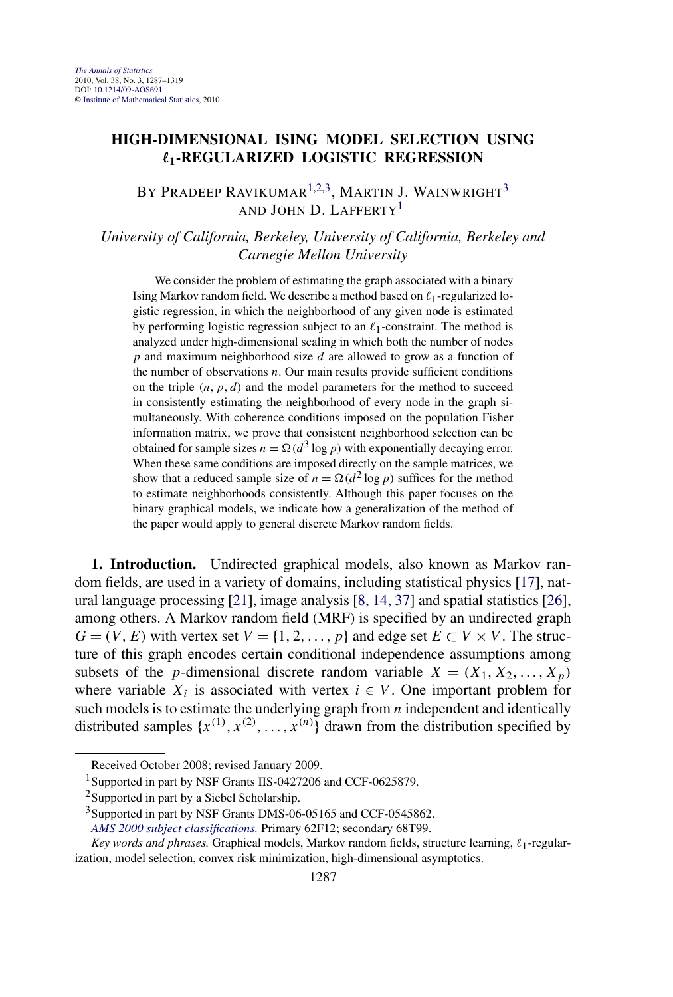# **HIGH-DIMENSIONAL ISING MODEL SELECTION USING** *-***1-REGULARIZED LOGISTIC REGRESSION**

BY PRADEEP RAVIKUMAR<sup>1,2,3</sup>, MARTIN J. WAINWRIGHT<sup>3</sup> AND JOHN D. LAFFERTY<sup>1</sup>

*University of California, Berkeley, University of California, Berkeley and Carnegie Mellon University*

We consider the problem of estimating the graph associated with a binary Ising Markov random field. We describe a method based on  $\ell_1$ -regularized logistic regression, in which the neighborhood of any given node is estimated by performing logistic regression subject to an  $\ell_1$ -constraint. The method is analyzed under high-dimensional scaling in which both the number of nodes *p* and maximum neighborhood size *d* are allowed to grow as a function of the number of observations *n*. Our main results provide sufficient conditions on the triple  $(n, p, d)$  and the model parameters for the method to succeed in consistently estimating the neighborhood of every node in the graph simultaneously. With coherence conditions imposed on the population Fisher information matrix, we prove that consistent neighborhood selection can be obtained for sample sizes  $n = \Omega(d^3 \log p)$  with exponentially decaying error. When these same conditions are imposed directly on the sample matrices, we show that a reduced sample size of  $n = \Omega(d^2 \log p)$  suffices for the method to estimate neighborhoods consistently. Although this paper focuses on the binary graphical models, we indicate how a generalization of the method of the paper would apply to general discrete Markov random fields.

**1. Introduction.** Undirected graphical models, also known as Markov random fields, are used in a variety of domains, including statistical physics [\[17\]](#page-31-0), natural language processing [\[21\]](#page-31-0), image analysis [\[8, 14, 37\]](#page-30-0) and spatial statistics [\[26\]](#page-31-0), among others. A Markov random field (MRF) is specified by an undirected graph  $G = (V, E)$  with vertex set  $V = \{1, 2, \ldots, p\}$  and edge set  $E \subset V \times V$ . The structure of this graph encodes certain conditional independence assumptions among subsets of the *p*-dimensional discrete random variable  $X = (X_1, X_2, \ldots, X_p)$ where variable  $X_i$  is associated with vertex  $i \in V$ . One important problem for such models is to estimate the underlying graph from *n* independent and identically distributed samples  $\{x^{(1)}, x^{(2)}, \ldots, x^{(n)}\}$  drawn from the distribution specified by

Received October 2008; revised January 2009.

<sup>&</sup>lt;sup>1</sup>Supported in part by NSF Grants IIS-0427206 and CCF-0625879.

<sup>&</sup>lt;sup>2</sup>Supported in part by a Siebel Scholarship.

<sup>&</sup>lt;sup>3</sup>Supported in part by NSF Grants DMS-06-05165 and CCF-0545862.

*[AMS 2000 subject classifications.](http://www.ams.org/msc/)* Primary 62F12; secondary 68T99.

Key words and phrases. Graphical models, Markov random fields, structure learning,  $\ell_1$ -regularization, model selection, convex risk minimization, high-dimensional asymptotics.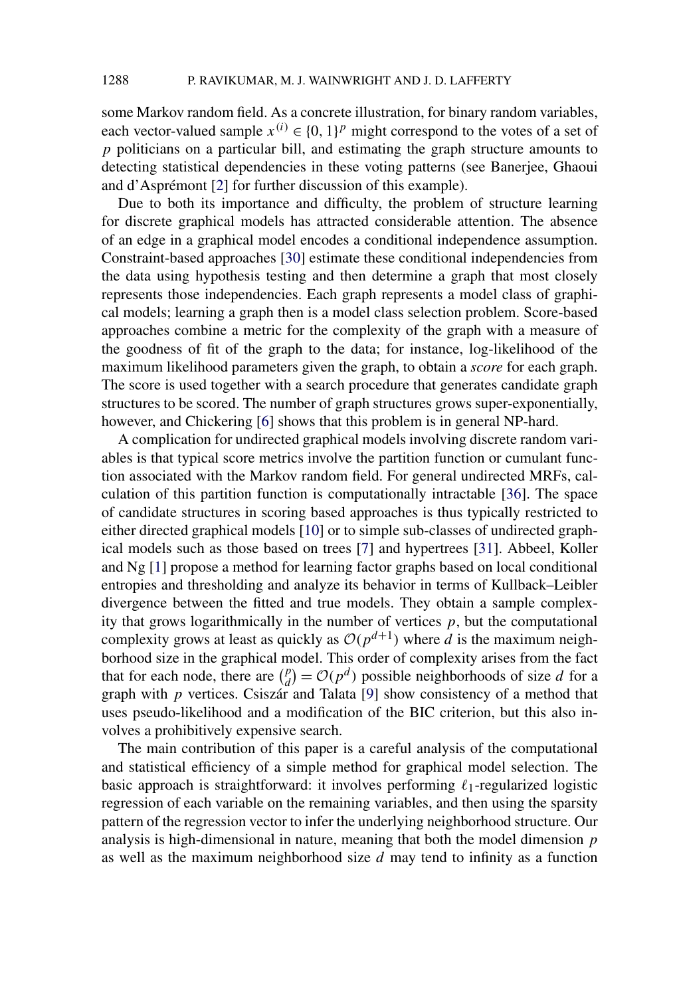some Markov random field. As a concrete illustration, for binary random variables, each vector-valued sample  $x^{(i)} \in \{0, 1\}^p$  might correspond to the votes of a set of *p* politicians on a particular bill, and estimating the graph structure amounts to detecting statistical dependencies in these voting patterns (see Banerjee, Ghaoui and d'Asprémont [\[2\]](#page-30-0) for further discussion of this example).

Due to both its importance and difficulty, the problem of structure learning for discrete graphical models has attracted considerable attention. The absence of an edge in a graphical model encodes a conditional independence assumption. Constraint-based approaches [\[30\]](#page-31-0) estimate these conditional independencies from the data using hypothesis testing and then determine a graph that most closely represents those independencies. Each graph represents a model class of graphical models; learning a graph then is a model class selection problem. Score-based approaches combine a metric for the complexity of the graph with a measure of the goodness of fit of the graph to the data; for instance, log-likelihood of the maximum likelihood parameters given the graph, to obtain a *score* for each graph. The score is used together with a search procedure that generates candidate graph structures to be scored. The number of graph structures grows super-exponentially, however, and Chickering [\[6\]](#page-30-0) shows that this problem is in general NP-hard.

A complication for undirected graphical models involving discrete random variables is that typical score metrics involve the partition function or cumulant function associated with the Markov random field. For general undirected MRFs, calculation of this partition function is computationally intractable [\[36\]](#page-31-0). The space of candidate structures in scoring based approaches is thus typically restricted to either directed graphical models [\[10\]](#page-30-0) or to simple sub-classes of undirected graphical models such as those based on trees [\[7\]](#page-30-0) and hypertrees [\[31\]](#page-31-0). Abbeel, Koller and Ng [\[1\]](#page-30-0) propose a method for learning factor graphs based on local conditional entropies and thresholding and analyze its behavior in terms of Kullback–Leibler divergence between the fitted and true models. They obtain a sample complexity that grows logarithmically in the number of vertices  $p$ , but the computational complexity grows at least as quickly as  $O(p^{d+1})$  where *d* is the maximum neighborhood size in the graphical model. This order of complexity arises from the fact that for each node, there are  $\binom{p}{d}$  $\mathcal{O}(p^d)$  possible neighborhoods of size *d* for a graph with *p* vertices. Csiszár and Talata [\[9\]](#page-30-0) show consistency of a method that uses pseudo-likelihood and a modification of the BIC criterion, but this also involves a prohibitively expensive search.

The main contribution of this paper is a careful analysis of the computational and statistical efficiency of a simple method for graphical model selection. The basic approach is straightforward: it involves performing  $\ell_1$ -regularized logistic regression of each variable on the remaining variables, and then using the sparsity pattern of the regression vector to infer the underlying neighborhood structure. Our analysis is high-dimensional in nature, meaning that both the model dimension *p* as well as the maximum neighborhood size *d* may tend to infinity as a function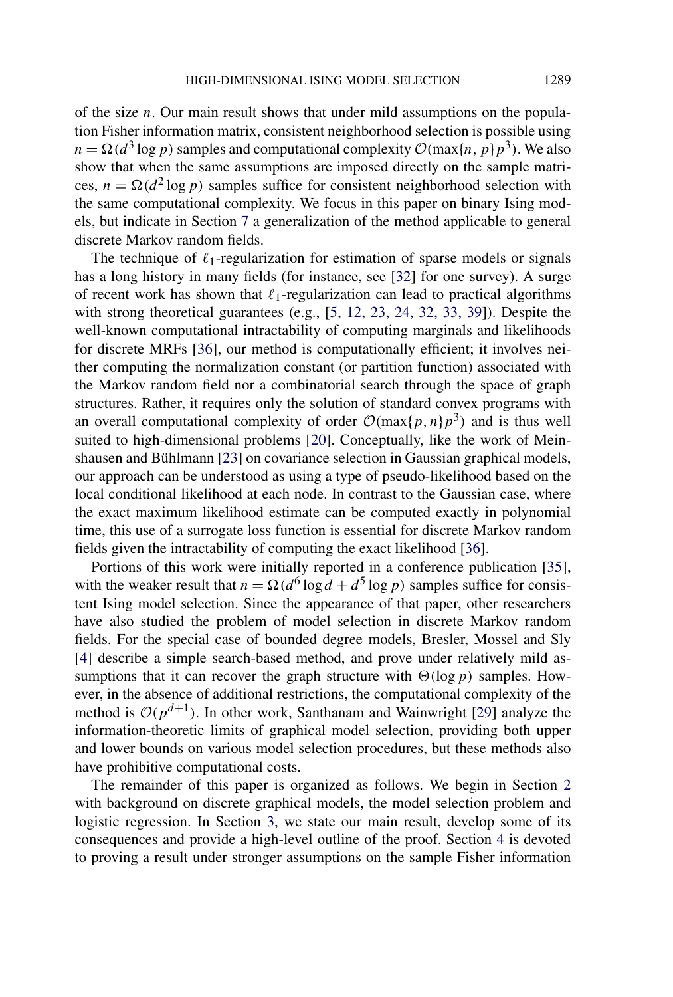of the size *n*. Our main result shows that under mild assumptions on the population Fisher information matrix, consistent neighborhood selection is possible using  $n = \Omega(d^3 \log p)$  samples and computational complexity  $\mathcal{O}(\max\{n, p\} p^3)$ . We also show that when the same assumptions are imposed directly on the sample matrices,  $n = \Omega(d^2 \log p)$  samples suffice for consistent neighborhood selection with the same computational complexity. We focus in this paper on binary Ising models, but indicate in Section [7](#page-22-0) a generalization of the method applicable to general discrete Markov random fields.

The technique of  $\ell_1$ -regularization for estimation of sparse models or signals has a long history in many fields (for instance, see [\[32\]](#page-31-0) for one survey). A surge of recent work has shown that  $\ell_1$ -regularization can lead to practical algorithms with strong theoretical guarantees (e.g., [\[5, 12, 23, 24, 32, 33, 39\]](#page-30-0)). Despite the well-known computational intractability of computing marginals and likelihoods for discrete MRFs [\[36\]](#page-31-0), our method is computationally efficient; it involves neither computing the normalization constant (or partition function) associated with the Markov random field nor a combinatorial search through the space of graph structures. Rather, it requires only the solution of standard convex programs with an overall computational complexity of order  $\mathcal{O}(\max\{p,n\}p^3)$  and is thus well suited to high-dimensional problems [\[20\]](#page-31-0). Conceptually, like the work of Meinshausen and Bühlmann [\[23\]](#page-31-0) on covariance selection in Gaussian graphical models, our approach can be understood as using a type of pseudo-likelihood based on the local conditional likelihood at each node. In contrast to the Gaussian case, where the exact maximum likelihood estimate can be computed exactly in polynomial time, this use of a surrogate loss function is essential for discrete Markov random fields given the intractability of computing the exact likelihood [\[36\]](#page-31-0).

Portions of this work were initially reported in a conference publication [\[35\]](#page-31-0), with the weaker result that  $n = \Omega(d^6 \log d + d^5 \log p)$  samples suffice for consistent Ising model selection. Since the appearance of that paper, other researchers have also studied the problem of model selection in discrete Markov random fields. For the special case of bounded degree models, Bresler, Mossel and Sly [\[4\]](#page-30-0) describe a simple search-based method, and prove under relatively mild assumptions that it can recover the graph structure with  $\Theta(\log p)$  samples. However, in the absence of additional restrictions, the computational complexity of the method is  $O(p^{d+1})$ . In other work, Santhanam and Wainwright [\[29\]](#page-31-0) analyze the information-theoretic limits of graphical model selection, providing both upper and lower bounds on various model selection procedures, but these methods also have prohibitive computational costs.

The remainder of this paper is organized as follows. We begin in Section [2](#page-3-0) with background on discrete graphical models, the model selection problem and logistic regression. In Section [3,](#page-6-0) we state our main result, develop some of its consequences and provide a high-level outline of the proof. Section [4](#page-11-0) is devoted to proving a result under stronger assumptions on the sample Fisher information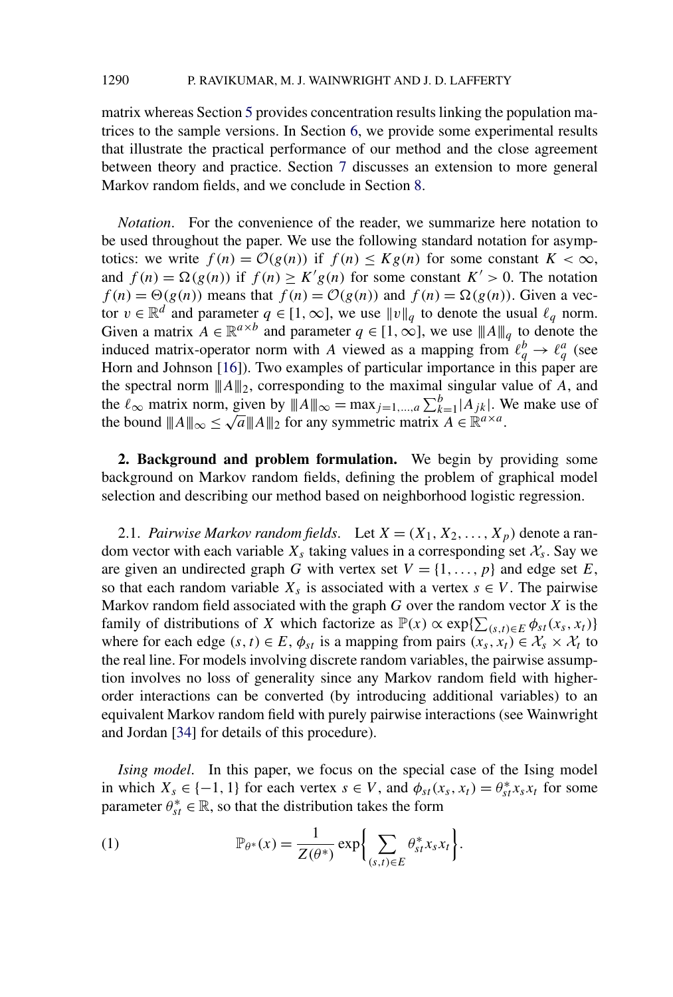#### <span id="page-3-0"></span>1290 P. RAVIKUMAR, M. J. WAINWRIGHT AND J. D. LAFFERTY

matrix whereas Section [5](#page-15-0) provides concentration results linking the population matrices to the sample versions. In Section [6,](#page-18-0) we provide some experimental results that illustrate the practical performance of our method and the close agreement between theory and practice. Section [7](#page-22-0) discusses an extension to more general Markov random fields, and we conclude in Section [8.](#page-24-0)

*Notation*. For the convenience of the reader, we summarize here notation to be used throughout the paper. We use the following standard notation for asymptotics: we write  $f(n) = \mathcal{O}(g(n))$  if  $f(n) \leq Kg(n)$  for some constant  $K < \infty$ , and  $f(n) = \Omega(g(n))$  if  $f(n) \ge K'g(n)$  for some constant  $K' > 0$ . The notation  $f(n) = \Theta(g(n))$  means that  $f(n) = \mathcal{O}(g(n))$  and  $f(n) = \Omega(g(n))$ . Given a vector  $v \in \mathbb{R}^d$  and parameter  $q \in [1, \infty]$ , we use  $||v||_q$  to denote the usual  $\ell_q$  norm. Given a matrix  $A \in \mathbb{R}^{a \times b}$  and parameter  $q \in [1, \infty]$ , we use  $||A||_q$  to denote the induced matrix-operator norm with *A* viewed as a mapping from  $\ell_q^b \to \ell_q^a$  (see Horn and Johnson [\[16\]](#page-31-0)). Two examples of particular importance in this paper are the spectral norm  $||A||_2$ , corresponding to the maximal singular value of *A*, and the  $\ell_{\infty}$  matrix norm, given by  $||A||_{\infty} = \max_{j=1,\dots,a} \sum_{k=1}^{b} |A_{jk}|$ . We make use of the bound  $||A||_{\infty} \le \sqrt{a} ||A||_2$  for any symmetric matrix  $A \in \mathbb{R}^{a \times a}$ .

**2. Background and problem formulation.** We begin by providing some background on Markov random fields, defining the problem of graphical model selection and describing our method based on neighborhood logistic regression.

2.1. *Pairwise Markov random fields.* Let  $X = (X_1, X_2, \ldots, X_p)$  denote a random vector with each variable  $X_s$  taking values in a corresponding set  $X_s$ . Say we are given an undirected graph *G* with vertex set  $V = \{1, \ldots, p\}$  and edge set *E*, so that each random variable  $X_s$  is associated with a vertex  $s \in V$ . The pairwise Markov random field associated with the graph *G* over the random vector *X* is the family of distributions of *X* which factorize as  $\mathbb{P}(x) \propto \exp\{\sum_{(s,t)\in E} \phi_{st}(x_s, x_t)\}$ where for each edge  $(s, t) \in E$ ,  $\phi_{st}$  is a mapping from pairs  $(x_s, x_t) \in \mathcal{X}_s \times \mathcal{X}_t$  to the real line. For models involving discrete random variables, the pairwise assumption involves no loss of generality since any Markov random field with higherorder interactions can be converted (by introducing additional variables) to an equivalent Markov random field with purely pairwise interactions (see Wainwright and Jordan [\[34\]](#page-31-0) for details of this procedure).

*Ising model*. In this paper, we focus on the special case of the Ising model in which  $X_s \in \{-1, 1\}$  for each vertex  $s \in V$ , and  $\phi_{st}(x_s, x_t) = \theta_{st}^* x_s x_t$  for some parameter  $\theta_{st}^* \in \mathbb{R}$ , so that the distribution takes the form

(1) 
$$
\mathbb{P}_{\theta^*}(x) = \frac{1}{Z(\theta^*)} \exp \bigg\{ \sum_{(s,t) \in E} \theta_{st}^* x_s x_t \bigg\}.
$$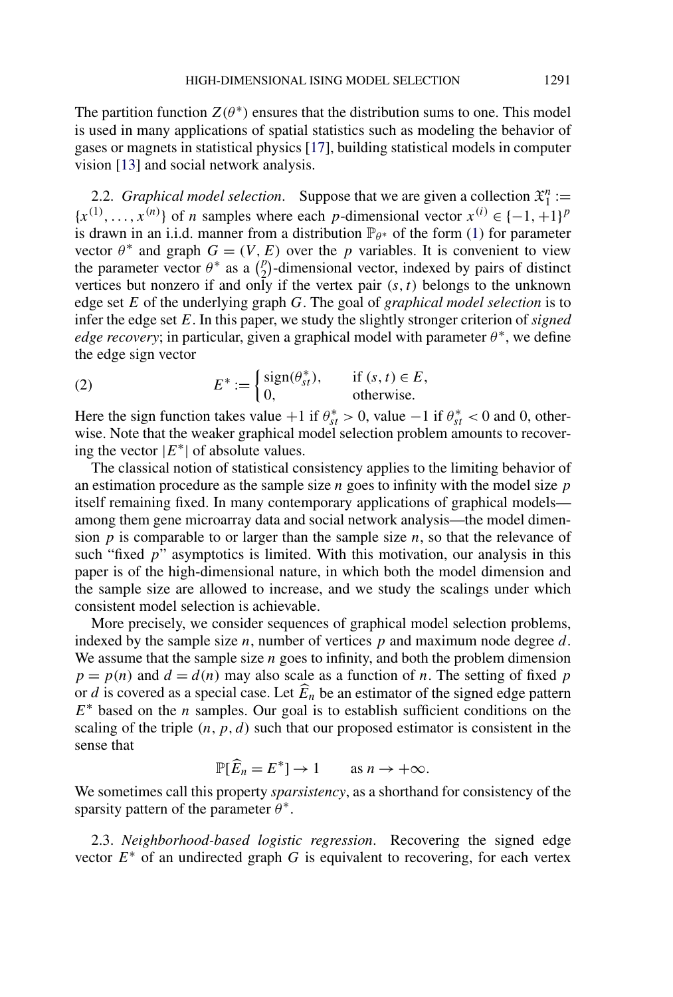The partition function  $Z(\theta^*)$  ensures that the distribution sums to one. This model is used in many applications of spatial statistics such as modeling the behavior of gases or magnets in statistical physics [\[17\]](#page-31-0), building statistical models in computer vision [\[13\]](#page-31-0) and social network analysis.

2.2. *Graphical model selection*. Suppose that we are given a collection  $\mathfrak{X}_1^n :=$  ${x^{(1)}, \ldots, x^{(n)}}$  of *n* samples where each *p*-dimensional vector  $x^{(i)} \in \{-1, +1\}^p$ is drawn in an i.i.d. manner from a distribution  $\mathbb{P}_{\theta^*}$  of the form [\(1\)](#page-3-0) for parameter vector  $\theta^*$  and graph  $G = (V, E)$  over the *p* variables. It is convenient to view the parameter vector  $\theta^*$  as a  $\binom{p}{2}$  $_{2}^{p}$ )-dimensional vector, indexed by pairs of distinct vertices but nonzero if and only if the vertex pair  $(s, t)$  belongs to the unknown edge set *E* of the underlying graph *G*. The goal of *graphical model selection* is to infer the edge set *E*. In this paper, we study the slightly stronger criterion of *signed edge recovery*; in particular, given a graphical model with parameter *θ* <sup>∗</sup>, we define the edge sign vector

(2) 
$$
E^* := \begin{cases} \text{sign}(\theta_{st}^*), & \text{if } (s, t) \in E, \\ 0, & \text{otherwise.} \end{cases}
$$

Here the sign function takes value +1 if  $\theta_{st}^* > 0$ , value  $-1$  if  $\theta_{st}^* < 0$  and 0, otherwise. Note that the weaker graphical model selection problem amounts to recovering the vector  $|E^*|$  of absolute values.

The classical notion of statistical consistency applies to the limiting behavior of an estimation procedure as the sample size *n* goes to infinity with the model size *p* itself remaining fixed. In many contemporary applications of graphical models among them gene microarray data and social network analysis—the model dimension *p* is comparable to or larger than the sample size *n*, so that the relevance of such "fixed  $p$ " asymptotics is limited. With this motivation, our analysis in this paper is of the high-dimensional nature, in which both the model dimension and the sample size are allowed to increase, and we study the scalings under which consistent model selection is achievable.

More precisely, we consider sequences of graphical model selection problems, indexed by the sample size *n*, number of vertices *p* and maximum node degree *d*. We assume that the sample size *n* goes to infinity, and both the problem dimension  $p = p(n)$  and  $d = d(n)$  may also scale as a function of *n*. The setting of fixed *p* or *d* is covered as a special case. Let  $E_n$  be an estimator of the signed edge pattern *E*<sup>∗</sup> based on the *n* samples. Our goal is to establish sufficient conditions on the scaling of the triple  $(n, p, d)$  such that our proposed estimator is consistent in the sense that

$$
\mathbb{P}[\widehat{E}_n = E^*] \to 1 \quad \text{as } n \to +\infty.
$$

We sometimes call this property *sparsistency*, as a shorthand for consistency of the sparsity pattern of the parameter  $\theta^*$ .

2.3. *Neighborhood-based logistic regression*. Recovering the signed edge vector  $E^*$  of an undirected graph  $G$  is equivalent to recovering, for each vertex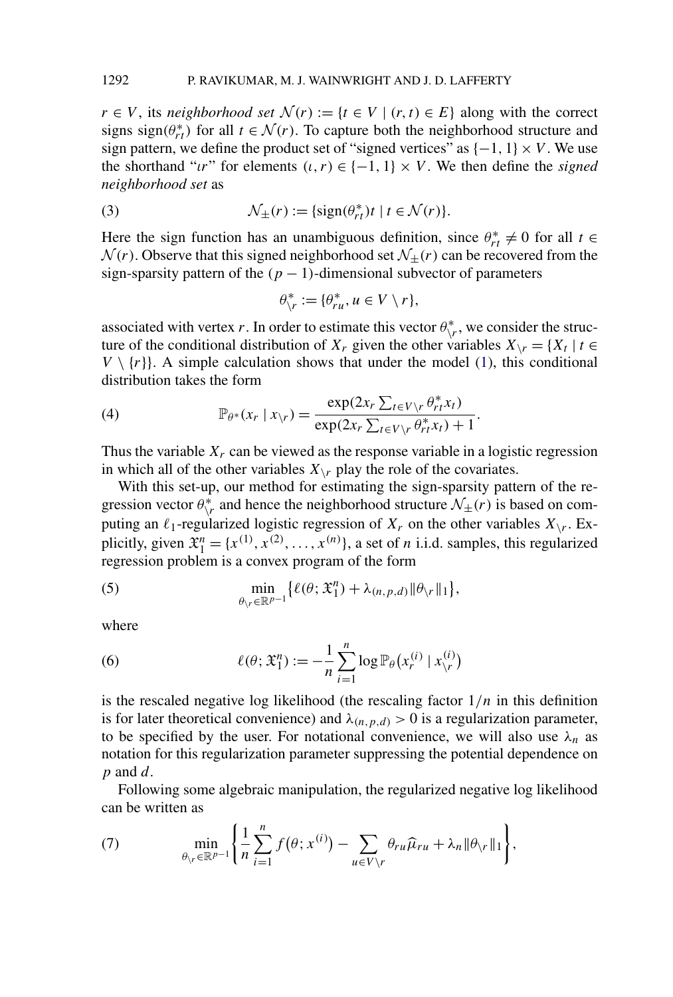<span id="page-5-0"></span>*r* ∈ *V*, its *neighborhood set*  $\mathcal{N}(r) := \{t \in V \mid (r, t) \in E\}$  along with the correct signs sign $(\theta_{rt}^*)$  for all  $t \in \mathcal{N}(r)$ . To capture both the neighborhood structure and sign pattern, we define the product set of "signed vertices" as  $\{-1, 1\} \times V$ . We use the shorthand "*ιr*" for elements  $(1, r) \in \{-1, 1\} \times V$ . We then define the *signed neighborhood set* as

(3) 
$$
\mathcal{N}_{\pm}(r) := \{\text{sign}(\theta_{rt}^*)t \mid t \in \mathcal{N}(r)\}.
$$

Here the sign function has an unambiguous definition, since  $\theta_{rt}^* \neq 0$  for all  $t \in$  $\mathcal{N}(r)$ . Observe that this signed neighborhood set  $\mathcal{N}_{\pm}(r)$  can be recovered from the sign-sparsity pattern of the  $(p - 1)$ -dimensional subvector of parameters

$$
\theta_{\setminus r}^* := \{\theta_{ru}^*, u \in V \setminus r\},\
$$

associated with vertex *r*. In order to estimate this vector  $\theta^*_{\setminus r}$ , we consider the structure of the conditional distribution of  $X_r$  given the other variables  $X_{\lambda r} = \{X_t | t \in$  $V \setminus \{r\}$ . A simple calculation shows that under the model [\(1\)](#page-3-0), this conditional distribution takes the form

(4) 
$$
\mathbb{P}_{\theta^*}(x_r \mid x_{\backslash r}) = \frac{\exp(2x_r \sum_{t \in V \backslash r} \theta_{rt}^* x_t)}{\exp(2x_r \sum_{t \in V \backslash r} \theta_{rt}^* x_t) + 1}.
$$

Thus the variable  $X_r$  can be viewed as the response variable in a logistic regression in which all of the other variables  $X_{\lambda r}$  play the role of the covariates.

With this set-up, our method for estimating the sign-sparsity pattern of the regression vector  $\theta^*_{\setminus r}$  and hence the neighborhood structure  $\mathcal{N}_{\pm}(r)$  is based on computing an  $\ell_1$ -regularized logistic regression of  $X_r$  on the other variables  $X_{\backslash r}$ . Explicitly, given  $\mathfrak{X}_1^n = \{x^{(1)}, x^{(2)}, \ldots, x^{(n)}\}$ , a set of *n* i.i.d. samples, this regularized regression problem is a convex program of the form

(5) 
$$
\min_{\theta_{\setminus r} \in \mathbb{R}^{p-1}} \{ \ell(\theta; \mathfrak{X}_1^n) + \lambda_{(n, p, d)} \| \theta_{\setminus r} \|_1 \},
$$

where

(6) 
$$
\ell(\theta; \mathfrak{X}_1^n) := -\frac{1}{n} \sum_{i=1}^n \log \mathbb{P}_{\theta}(x_r^{(i)} | x_{\backslash r}^{(i)})
$$

is the rescaled negative log likelihood (the rescaling factor  $1/n$  in this definition is for later theoretical convenience) and  $\lambda_{(n,p,d)} > 0$  is a regularization parameter, to be specified by the user. For notational convenience, we will also use  $\lambda_n$  as notation for this regularization parameter suppressing the potential dependence on *p* and *d*.

Following some algebraic manipulation, the regularized negative log likelihood can be written as

(7) 
$$
\min_{\theta_{\setminus r} \in \mathbb{R}^{p-1}} \left\{ \frac{1}{n} \sum_{i=1}^n f(\theta; x^{(i)}) - \sum_{u \in V \setminus r} \theta_{ru} \widehat{\mu}_{ru} + \lambda_n ||\theta_{\setminus r}||_1 \right\},
$$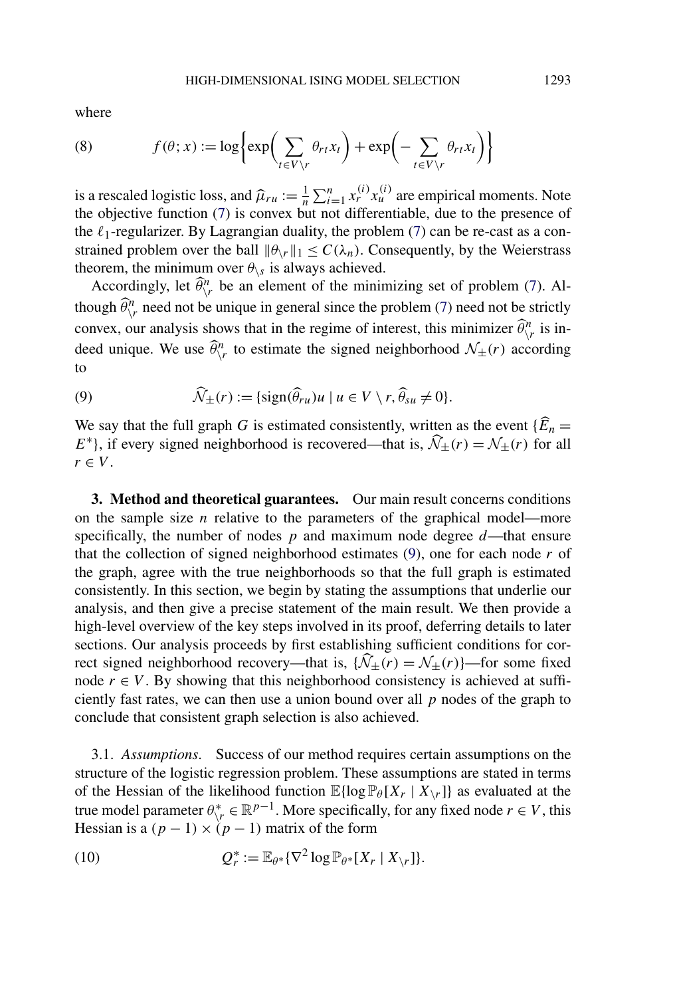<span id="page-6-0"></span>where

(8) 
$$
f(\theta; x) := \log \left\{ \exp \left( \sum_{t \in V \setminus r} \theta_{rt} x_t \right) + \exp \left( - \sum_{t \in V \setminus r} \theta_{rt} x_t \right) \right\}
$$

is a rescaled logistic loss, and  $\widehat{\mu}_{ru} := \frac{1}{n} \sum_{i=1}^{n} x_r^{(i)} x_u^{(i)}$  are empirical moments. Note the objective function [\(7\)](#page-5-0) is convex but not differentiable, due to the presence of the  $\ell_1$ -regularizer. By Lagrangian duality, the problem  $(7)$  can be re-cast as a constrained problem over the ball  $\|\theta_{\gamma}\|_1 \leq C(\lambda_n)$ . Consequently, by the Weierstrass theorem, the minimum over  $\theta_{\setminus s}$  is always achieved.

Accordingly, let  $\widehat{\theta}_{\setminus r}^n$  be an element of the minimizing set of problem [\(7\)](#page-5-0). Although  $\widehat{\theta}^n_{\setminus r}$  need not be unique in general since the problem [\(7\)](#page-5-0) need not be strictly convex, our analysis shows that in the regime of interest, this minimizer  $\widehat{\theta}_{\setminus r}^n$  is indeed unique. We use  $\widehat{\theta}_{\setminus r}^n$  to estimate the signed neighborhood  $\mathcal{N}_{\pm}(r)$  according to

(9) 
$$
\widehat{\mathcal{N}}_{\pm}(r) := \{ \mathrm{sign}(\widehat{\theta}_{ru})u \mid u \in V \setminus r, \widehat{\theta}_{su} \neq 0 \}.
$$

We say that the full graph *G* is estimated consistently, written as the event  $\{E_n =$ *E*<sup>\*</sup>}, if every signed neighborhood is recovered—that is,  $\widehat{N}_{\pm}(r) = \mathcal{N}_{\pm}(r)$  for all  $r \in V$ .

**3. Method and theoretical guarantees.** Our main result concerns conditions on the sample size *n* relative to the parameters of the graphical model—more specifically, the number of nodes *p* and maximum node degree *d*—that ensure that the collection of signed neighborhood estimates (9), one for each node *r* of the graph, agree with the true neighborhoods so that the full graph is estimated consistently. In this section, we begin by stating the assumptions that underlie our analysis, and then give a precise statement of the main result. We then provide a high-level overview of the key steps involved in its proof, deferring details to later sections. Our analysis proceeds by first establishing sufficient conditions for correct signed neighborhood recovery—that is,  $\{\mathcal{N}_{\pm}(r) = \mathcal{N}_{\pm}(r)\}$ —for some fixed node  $r \in V$ . By showing that this neighborhood consistency is achieved at sufficiently fast rates, we can then use a union bound over all *p* nodes of the graph to conclude that consistent graph selection is also achieved.

3.1. *Assumptions*. Success of our method requires certain assumptions on the structure of the logistic regression problem. These assumptions are stated in terms of the Hessian of the likelihood function  $\mathbb{E} \{\log \mathbb{P}_{\theta}[X_r | X_{\setminus r}]\}$  as evaluated at the true model parameter  $\theta_{\n\gamma}^* \in \mathbb{R}^{p-1}$ . More specifically, for any fixed node  $r \in V$ , this Hessian is a  $(p - 1) \times (p - 1)$  matrix of the form

(10) 
$$
Q_r^* := \mathbb{E}_{\theta^*} \{ \nabla^2 \log \mathbb{P}_{\theta^*} [X_r | X_{\setminus r}]\}.
$$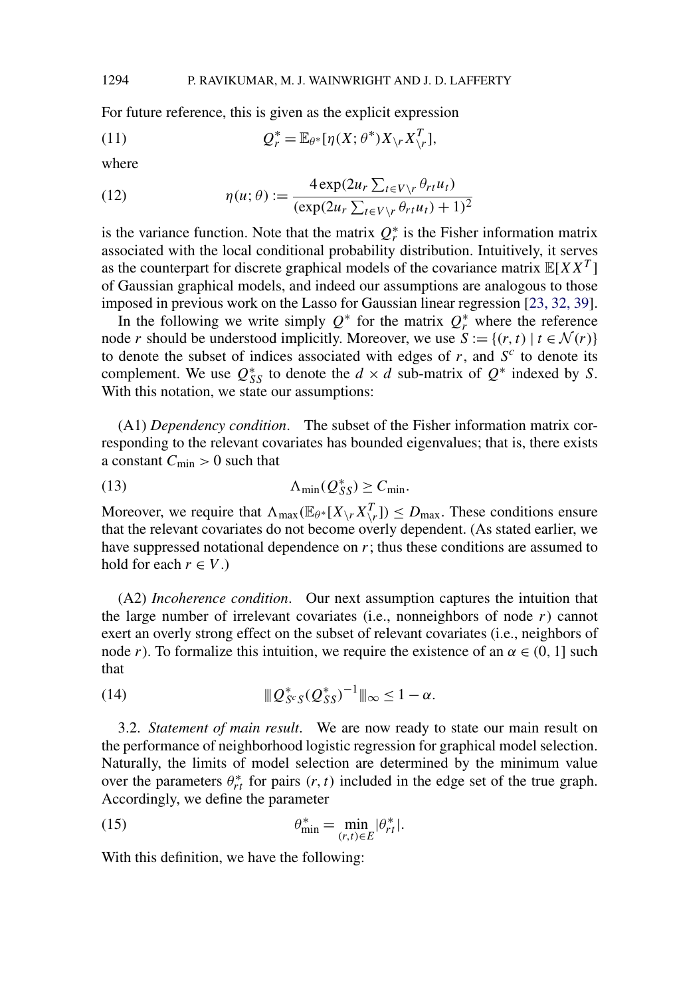For future reference, this is given as the explicit expression

(11) 
$$
Q_r^* = \mathbb{E}_{\theta^*}[\eta(X;\theta^*)X_{\backslash r}X_{\backslash r}^T],
$$

where

(12) 
$$
\eta(u; \theta) := \frac{4 \exp(2u_r \sum_{t \in V \setminus r} \theta_{rt} u_t)}{(\exp(2u_r \sum_{t \in V \setminus r} \theta_{rt} u_t) + 1)^2}
$$

is the variance function. Note that the matrix  $Q_r^*$  is the Fisher information matrix associated with the local conditional probability distribution. Intuitively, it serves as the counterpart for discrete graphical models of the covariance matrix  $\mathbb{E}[XX^T]$ of Gaussian graphical models, and indeed our assumptions are analogous to those imposed in previous work on the Lasso for Gaussian linear regression [\[23, 32, 39\]](#page-31-0).

In the following we write simply  $Q^*$  for the matrix  $Q^*_r$  where the reference node *r* should be understood implicitly. Moreover, we use  $S := \{(r, t) | t \in \mathcal{N}(r)\}\$ to denote the subset of indices associated with edges of  $r$ , and  $S<sup>c</sup>$  to denote its complement. We use  $Q_{SS}^*$  to denote the  $d \times d$  sub-matrix of  $Q^*$  indexed by *S*. With this notation, we state our assumptions:

(A1) *Dependency condition*. The subset of the Fisher information matrix corresponding to the relevant covariates has bounded eigenvalues; that is, there exists a constant  $C_{\text{min}} > 0$  such that

(13) 
$$
\Lambda_{\min}(Q_{SS}^*) \geq C_{\min}.
$$

Moreover, we require that  $\Lambda_{\max}(\mathbb{E}_{\theta^*}[X \setminus rX \setminus \mathcal{T}]}^T) \leq D_{\max}$ . These conditions ensure that the relevant covariates do not become overly dependent. (As stated earlier, we have suppressed notational dependence on  $r$ ; thus these conditions are assumed to hold for each  $r \in V$ .)

(A2) *Incoherence condition*. Our next assumption captures the intuition that the large number of irrelevant covariates (i.e., nonneighbors of node *r*) cannot exert an overly strong effect on the subset of relevant covariates (i.e., neighbors of node *r*). To formalize this intuition, we require the existence of an  $\alpha \in (0, 1]$  such that

(14) 
$$
\|Q_{S^cS}^*(Q_{SS}^*)^{-1}\|_{\infty} \leq 1 - \alpha.
$$

3.2. *Statement of main result*. We are now ready to state our main result on the performance of neighborhood logistic regression for graphical model selection. Naturally, the limits of model selection are determined by the minimum value over the parameters  $\theta_{rt}^*$  for pairs  $(r, t)$  included in the edge set of the true graph. Accordingly, we define the parameter

(15) 
$$
\theta_{\min}^* = \min_{(r,t)\in E} |\theta_{rt}^*|.
$$

With this definition, we have the following:

<span id="page-7-0"></span>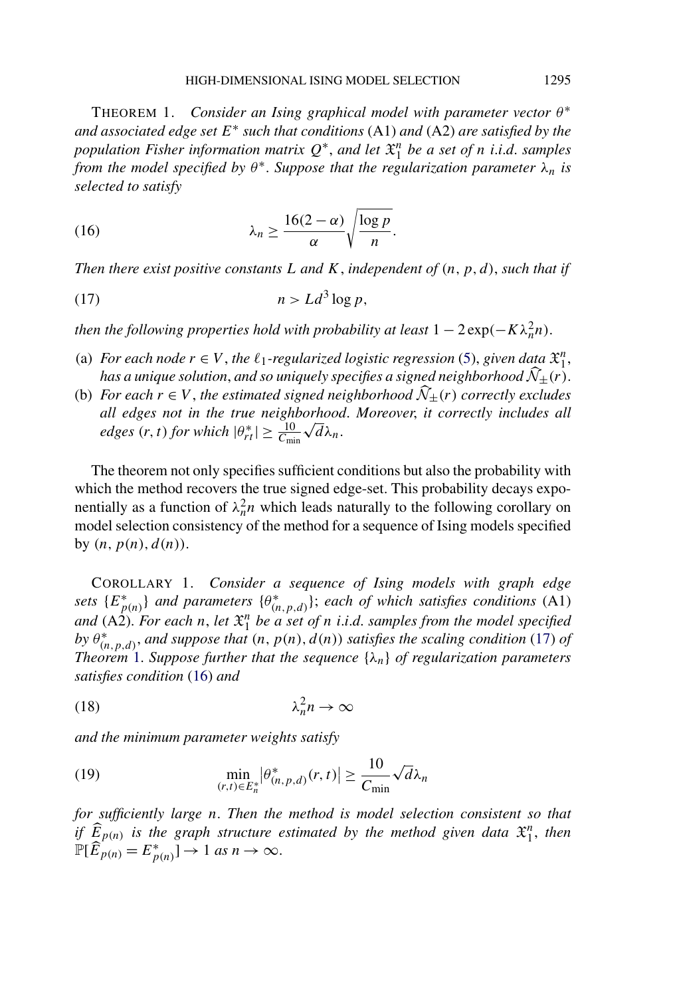<span id="page-8-0"></span>THEOREM 1. *Consider an Ising graphical model with parameter vector*  $\theta^*$ *and associated edge set E*<sup>∗</sup> *such that conditions* (A1) *and* (A2) *are satisfied by the population Fisher information matrix Q*∗, *and let* X*<sup>n</sup>* <sup>1</sup> *be a set of n i*.*i*.*d*. *samples from the model specified by*  $\theta^*$ . *Suppose that the regularization parameter*  $\lambda_n$  *is selected to satisfy*

(16) 
$$
\lambda_n \geq \frac{16(2-\alpha)}{\alpha} \sqrt{\frac{\log p}{n}}.
$$

*Then there exist positive constants L and K*, *independent of (n,p,d)*, *such that if*

$$
(17) \t\t n > Ld^3\log p,
$$

*then the following properties hold with probability at least*  $1 - 2 \exp(-K\lambda_n^2 n)$ .

- (a) *For each node*  $r \in V$ , the  $\ell_1$ -regularized logistic regression [\(5\)](#page-5-0), given data  $\mathfrak{X}_1^n$ , *has a unique solution, and so uniquely specifies a signed neighborhood*  $\hat{N}_{\pm}(r)$ .
- (b) *For each*  $r \in V$ , *the estimated signed neighborhood*  $\widehat{N}_{\pm}(r)$  *correctly excludes all edges not in the true neighborhood*. *Moreover*, *it correctly includes all edges* (*r, t*) *for which*  $|\theta_{rt}^*| \ge \frac{10}{C_{\min}} \sqrt{d} \lambda_n$ .

The theorem not only specifies sufficient conditions but also the probability with which the method recovers the true signed edge-set. This probability decays exponentially as a function of  $\lambda_n^2 n$  which leads naturally to the following corollary on model selection consistency of the method for a sequence of Ising models specified by  $(n, p(n), d(n))$ .

COROLLARY 1. *Consider a sequence of Ising models with graph edge sets*  $\{E_{p(n)}^*\}$  *and parameters*  $\{\theta_{(n,p,d)}^*\}$ ; *each of which satisfies conditions* (A1) *and* (A2). *For each n*, *let* X*<sup>n</sup>* <sup>1</sup> *be a set of n i*.*i*.*d*. *samples from the model specified by*  $\theta_{(n,p,d)}^*$ , *and suppose that*  $(n,p(n),d(n))$  *satisfies the scaling condition* (17) *of Theorem* 1. *Suppose further that the sequence* {*λn*} *of regularization parameters satisfies condition* (16) *and*

$$
\lambda_n^2 n \to \infty
$$

*and the minimum parameter weights satisfy*

(19) 
$$
\min_{(r,t)\in E_n^*} |\theta^*_{(n,p,d)}(r,t)| \geq \frac{10}{C_{\min}} \sqrt{d\lambda_n}
$$

*for sufficiently large n*. *Then the method is model selection consistent so that if*  $\widehat{E}_{p(n)}$  *is the graph structure estimated by the method given data*  $\mathfrak{X}_1^n$ , *then*  $\mathbb{P}[\widehat{E}_{p(n)} = E_{p(n)}^*] \to 1$  *as*  $n \to \infty$ .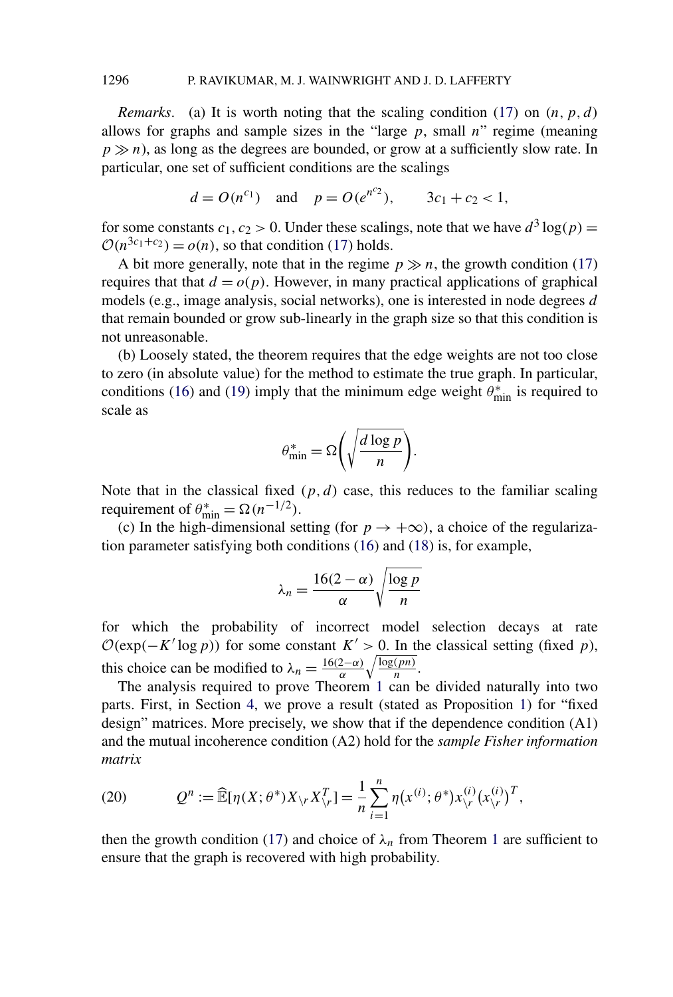<span id="page-9-0"></span>*Remarks*. (a) It is worth noting that the scaling condition [\(17\)](#page-8-0) on *(n,p,d)* allows for graphs and sample sizes in the "large *p*, small *n*" regime (meaning  $p \gg n$ , as long as the degrees are bounded, or grow at a sufficiently slow rate. In particular, one set of sufficient conditions are the scalings

$$
d = O(n^{c_1})
$$
 and  $p = O(e^{n^{c_2}})$ ,  $3c_1 + c_2 < 1$ ,

for some constants  $c_1, c_2 > 0$ . Under these scalings, note that we have  $d^3 \log(p) =$  $\mathcal{O}(n^{3c_1+c_2}) = o(n)$ , so that condition [\(17\)](#page-8-0) holds.

A bit more generally, note that in the regime  $p \gg n$ , the growth condition [\(17\)](#page-8-0) requires that that  $d = o(p)$ . However, in many practical applications of graphical models (e.g., image analysis, social networks), one is interested in node degrees *d* that remain bounded or grow sub-linearly in the graph size so that this condition is not unreasonable.

(b) Loosely stated, the theorem requires that the edge weights are not too close to zero (in absolute value) for the method to estimate the true graph. In particular, conditions [\(16\)](#page-8-0) and [\(19\)](#page-8-0) imply that the minimum edge weight  $\theta_{\min}^*$  is required to scale as

$$
\theta_{\min}^* = \Omega \bigg( \sqrt{\frac{d \log p}{n}} \bigg).
$$

Note that in the classical fixed  $(p, d)$  case, this reduces to the familiar scaling requirement of  $\theta_{\min}^* = \Omega(n^{-1/2})$ .

(c) In the high-dimensional setting (for  $p \rightarrow +\infty$ ), a choice of the regularization parameter satisfying both conditions [\(16\)](#page-8-0) and [\(18\)](#page-8-0) is, for example,

$$
\lambda_n = \frac{16(2-\alpha)}{\alpha} \sqrt{\frac{\log p}{n}}
$$

for which the probability of incorrect model selection decays at rate  $O(\exp(-K' \log p))$  for some constant  $K' > 0$ . In the classical setting (fixed *p*), this choice can be modified to  $\lambda_n = \frac{16(2-\alpha)}{\alpha}$  $\sqrt{\frac{\log(pn)}{n}}$ .

The analysis required to prove Theorem [1](#page-8-0) can be divided naturally into two parts. First, in Section [4,](#page-11-0) we prove a result (stated as Proposition [1\)](#page-11-0) for "fixed design" matrices. More precisely, we show that if the dependence condition (A1) and the mutual incoherence condition (A2) hold for the *sample Fisher information matrix*

(20) 
$$
Q^{n} := \widehat{\mathbb{E}}[\eta(X; \theta^{*})X_{\setminus r}X_{\setminus r}^{T}] = \frac{1}{n}\sum_{i=1}^{n}\eta(x^{(i)}; \theta^{*})x_{\setminus r}^{(i)}(x_{\setminus r}^{(i)})^{T},
$$

then the growth condition [\(17\)](#page-8-0) and choice of  $\lambda_n$  from Theorem [1](#page-8-0) are sufficient to ensure that the graph is recovered with high probability.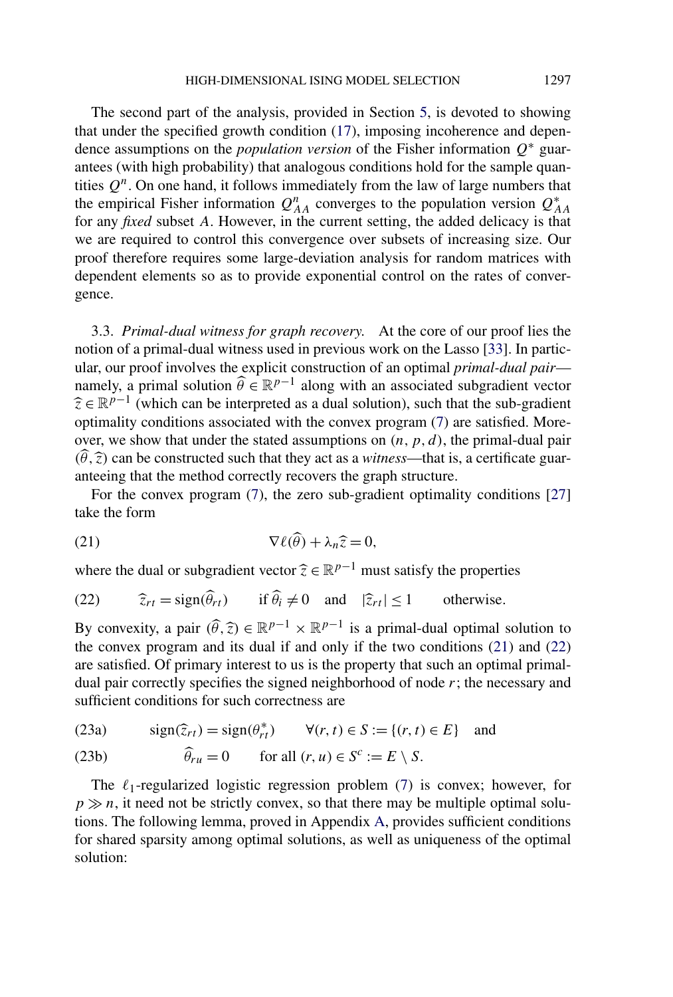<span id="page-10-0"></span>The second part of the analysis, provided in Section [5,](#page-15-0) is devoted to showing that under the specified growth condition [\(17\)](#page-8-0), imposing incoherence and dependence assumptions on the *population version* of the Fisher information *Q*<sup>∗</sup> guarantees (with high probability) that analogous conditions hold for the sample quantities  $Q<sup>n</sup>$ . On one hand, it follows immediately from the law of large numbers that the empirical Fisher information  $Q_{AA}^n$  converges to the population version  $Q_{AA}^*$ for any *fixed* subset *A*. However, in the current setting, the added delicacy is that we are required to control this convergence over subsets of increasing size. Our proof therefore requires some large-deviation analysis for random matrices with dependent elements so as to provide exponential control on the rates of convergence.

3.3. *Primal-dual witness for graph recovery*. At the core of our proof lies the notion of a primal-dual witness used in previous work on the Lasso [\[33\]](#page-31-0). In particular, our proof involves the explicit construction of an optimal *primal-dual pair* namely, a primal solution  $\widehat{\theta} \in \mathbb{R}^{p-1}$  along with an associated subgradient vector  $\hat{z} \in \mathbb{R}^{p-1}$  (which can be interpreted as a dual solution), such that the sub-gradient optimality conditions associated with the convex program [\(7\)](#page-5-0) are satisfied. Moreover, we show that under the stated assumptions on *(n,p,d)*, the primal-dual pair  $(\widehat{\theta}, \widehat{z})$  can be constructed such that they act as a *witness*—that is, a certificate guaranteeing that the method correctly recovers the graph structure.

For the convex program [\(7\)](#page-5-0), the zero sub-gradient optimality conditions [\[27\]](#page-31-0) take the form

(21) 
$$
\nabla \ell(\widehat{\theta}) + \lambda_n \widehat{z} = 0,
$$

where the dual or subgradient vector  $\hat{z} \in \mathbb{R}^{p-1}$  must satisfy the properties

*zrt* = sign $(\widehat{\theta}_{rt})$  if  $\widehat{\theta}_i \neq 0$  and  $|\widehat{z}_{rt}| \leq 1$  otherwise.

By convexity, a pair  $(\widehat{\theta}, \widehat{z}) \in \mathbb{R}^{p-1} \times \mathbb{R}^{p-1}$  is a primal-dual optimal solution to the convex program and its dual if and only if the two conditions (21) and (22) are satisfied. Of primary interest to us is the property that such an optimal primaldual pair correctly specifies the signed neighborhood of node *r*; the necessary and sufficient conditions for such correctness are

(23a) 
$$
\text{sign}(\hat{z}_{rt}) = \text{sign}(\theta_{rt}^*) \qquad \forall (r, t) \in S := \{(r, t) \in E\} \quad \text{and}
$$

(23b) 
$$
\widehat{\theta}_{ru} = 0 \quad \text{for all } (r, u) \in S^c := E \setminus S.
$$

The  $\ell_1$ -regularized logistic regression problem [\(7\)](#page-5-0) is convex; however, for  $p \gg n$ , it need not be strictly convex, so that there may be multiple optimal solutions. The following lemma, proved in Appendix [A,](#page-25-0) provides sufficient conditions for shared sparsity among optimal solutions, as well as uniqueness of the optimal solution: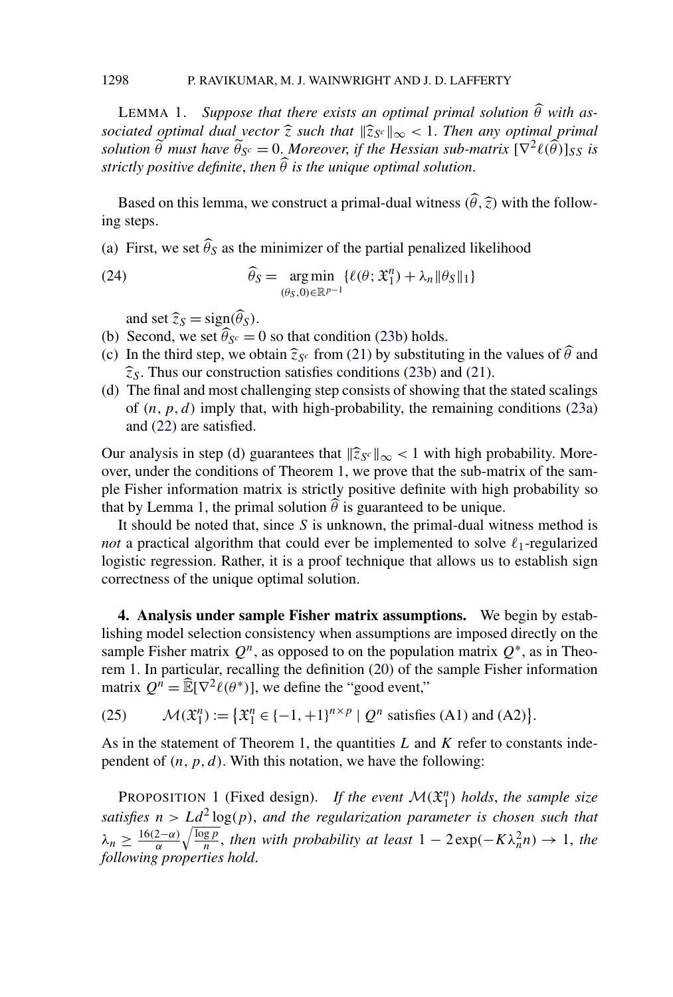<span id="page-11-0"></span>LEMMA 1. Suppose that there exists an optimal primal solution  $\hat{\theta}$  with as*sociated optimal dual vector*  $\hat{z}$  *such that*  $\|\hat{z}_{S}c\|_{\infty} < 1$ . Then any optimal primal *solution*  $\widetilde{\theta}$  *must have*  $\widetilde{\theta}_{S^c} = 0$ . *Moreover, if the Hessian sub-matrix*  $[\nabla^2 \ell(\widehat{\theta})]_{SS}$  *is strictly positive definite*, *then θ is the unique optimal solution*.

Based on this lemma, we construct a primal-dual witness  $(\hat{\theta}, \hat{z})$  with the following steps.

(a) First, we set  $\hat{\theta}_s$  as the minimizer of the partial penalized likelihood

(24) 
$$
\widehat{\theta}_S = \underset{(\theta_S, 0) \in \mathbb{R}^{p-1}}{\arg \min} \{ \ell(\theta; \mathfrak{X}_1^n) + \lambda_n ||\theta_S||_1 \}
$$

and set  $\widehat{z}_S = \text{sign}(\widehat{\theta}_S)$ .

- (b) Second, we set  $\hat{\theta}_{S^c} = 0$  so that condition [\(23b\)](#page-10-0) holds.
- (c) In the third step, we obtain  $\hat{z}_{S^c}$  from [\(21\)](#page-10-0) by substituting in the values of  $\hat{\theta}$  and  $\hat{z}_s$ . Thus our construction satisfies conditions [\(23b\)](#page-10-0) and [\(21\)](#page-10-0).
- (d) The final and most challenging step consists of showing that the stated scalings of *(n,p,d)* imply that, with high-probability, the remaining conditions [\(23a\)](#page-10-0) and [\(22\)](#page-10-0) are satisfied.

Our analysis in step (d) guarantees that  $\|\hat{\zeta}_{S^c}\|_{\infty} < 1$  with high probability. Moreover, under the conditions of Theorem [1,](#page-8-0) we prove that the sub-matrix of the sample Fisher information matrix is strictly positive definite with high probability so that by Lemma 1, the primal solution  $\hat{\theta}$  is guaranteed to be unique.

It should be noted that, since *S* is unknown, the primal-dual witness method is not a practical algorithm that could ever be implemented to solve  $\ell_1$ -regularized logistic regression. Rather, it is a proof technique that allows us to establish sign correctness of the unique optimal solution.

**4. Analysis under sample Fisher matrix assumptions.** We begin by establishing model selection consistency when assumptions are imposed directly on the sample Fisher matrix  $Q^n$ , as opposed to on the population matrix  $Q^*$ , as in Theorem [1.](#page-8-0) In particular, recalling the definition [\(20\)](#page-9-0) of the sample Fisher information matrix  $Q^n = \mathbb{E}[\nabla^2 \ell(\theta^*)]$ , we define the "good event,"

(25) 
$$
\mathcal{M}(\mathfrak{X}_1^n) := \{ \mathfrak{X}_1^n \in \{-1, +1\}^{n \times p} \mid \mathcal{Q}^n \text{ satisfies (A1) and (A2)} \}.
$$

As in the statement of Theorem [1,](#page-8-0) the quantities *L* and *K* refer to constants independent of  $(n, p, d)$ . With this notation, we have the following:

PROPOSITION 1 (Fixed design). *If the event*  $\mathcal{M}(\mathfrak{X}_1^n)$  *holds*, *the sample size satisfies*  $n > Ld^2 \log(p)$ , *and the regularization parameter is chosen such that*  $λ_n$   $\geq \frac{16(2-α)}{α}$  $\sqrt{\frac{\log p}{n}}$ , *then with probability at least* 1 − 2 exp( $-K\lambda_n^2 n$ ) → 1, *the following properties hold*.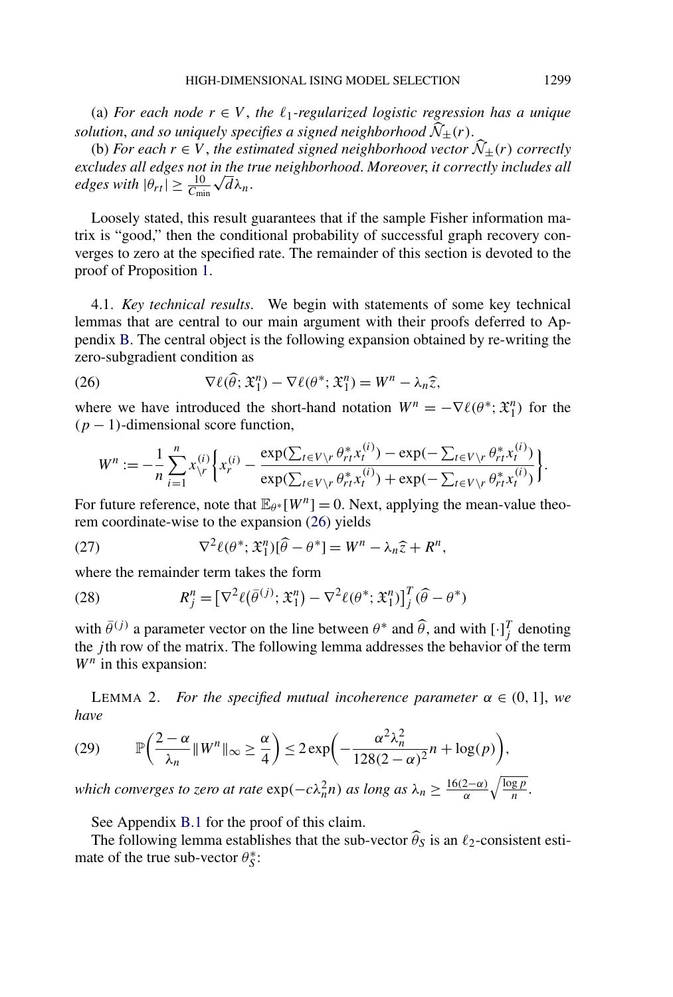<span id="page-12-0"></span>(a) *For each node*  $r \in V$ , the  $\ell_1$ -regularized logistic regression has a unique *solution, and so uniquely specifies a signed neighborhood*  $\hat{N}_{\pm}(r)$ .

(b) *For each*  $r \in V$ , *the estimated signed neighborhood vector*  $\widehat{N}_+(r)$  *correctly excludes all edges not in the true neighborhood*. *Moreover*, *it correctly includes all excludes all edges not in the ti*<br>*edges with*  $|\theta_{rt}| \geq \frac{10}{C_{\min}} \sqrt{d} \lambda_n$ .

Loosely stated, this result guarantees that if the sample Fisher information matrix is "good," then the conditional probability of successful graph recovery converges to zero at the specified rate. The remainder of this section is devoted to the proof of Proposition [1.](#page-11-0)

4.1. *Key technical results*. We begin with statements of some key technical lemmas that are central to our main argument with their proofs deferred to Appendix [B.](#page-25-0) The central object is the following expansion obtained by re-writing the zero-subgradient condition as

(26) 
$$
\nabla \ell(\widehat{\theta}; \mathfrak{X}_1^n) - \nabla \ell(\theta^*; \mathfrak{X}_1^n) = W^n - \lambda_n \widehat{z},
$$

where we have introduced the short-hand notation  $W^n = -\nabla \ell(\theta^*; \mathfrak{X}_1^n)$  for the  $(p-1)$ -dimensional score function,

$$
W^{n} := -\frac{1}{n} \sum_{i=1}^{n} x_{\setminus r}^{(i)} \left\{ x_{r}^{(i)} - \frac{\exp(\sum_{t \in V \setminus r} \theta_{rt}^{*} x_{t}^{(i)}) - \exp(-\sum_{t \in V \setminus r} \theta_{rt}^{*} x_{t}^{(i)})}{\exp(\sum_{t \in V \setminus r} \theta_{rt}^{*} x_{t}^{(i)}) + \exp(-\sum_{t \in V \setminus r} \theta_{rt}^{*} x_{t}^{(i)})} \right\}.
$$

For future reference, note that  $\mathbb{E}_{\theta^*}[W^n] = 0$ . Next, applying the mean-value theorem coordinate-wise to the expansion (26) yields

(27) 
$$
\nabla^2 \ell(\theta^*; \mathfrak{X}_1^n)[\widehat{\theta} - \theta^*] = W^n - \lambda_n \widehat{z} + R^n,
$$

where the remainder term takes the form

(28) 
$$
R_j^n = \left[\nabla^2 \ell(\bar{\theta}^{(j)}; \mathfrak{X}_1^n) - \nabla^2 \ell(\theta^*; \mathfrak{X}_1^n)\right]_j^T (\widehat{\theta} - \theta^*)
$$

with  $\bar{\theta}^{(j)}$  a parameter vector on the line between  $\theta^*$  and  $\widehat{\theta}$ , and with  $[\cdot]_{j}^{T}$  denoting the *j*th row of the matrix. The following lemma addresses the behavior of the term *W<sup>n</sup>* in this expansion:

**LEMMA 2.** For the specified mutual incoherence parameter  $\alpha \in (0, 1]$ , we *have*

(29) 
$$
\mathbb{P}\left(\frac{2-\alpha}{\lambda_n} \|W^n\|_{\infty} \ge \frac{\alpha}{4}\right) \le 2\exp\left(-\frac{\alpha^2\lambda_n^2}{128(2-\alpha)^2}n + \log(p)\right),
$$
  
which converges to zero at rate  $\exp(-c\lambda_n^2 n)$  as long as  $\lambda_n \ge \frac{16(2-\alpha)}{\alpha}\sqrt{\frac{\log p}{n}}$ .

See Appendix [B.1](#page-25-0) for the proof of this claim.

The following lemma establishes that the sub-vector  $\theta_S$  is an  $\ell_2$ -consistent estimate of the true sub-vector  $\theta_s^*$ :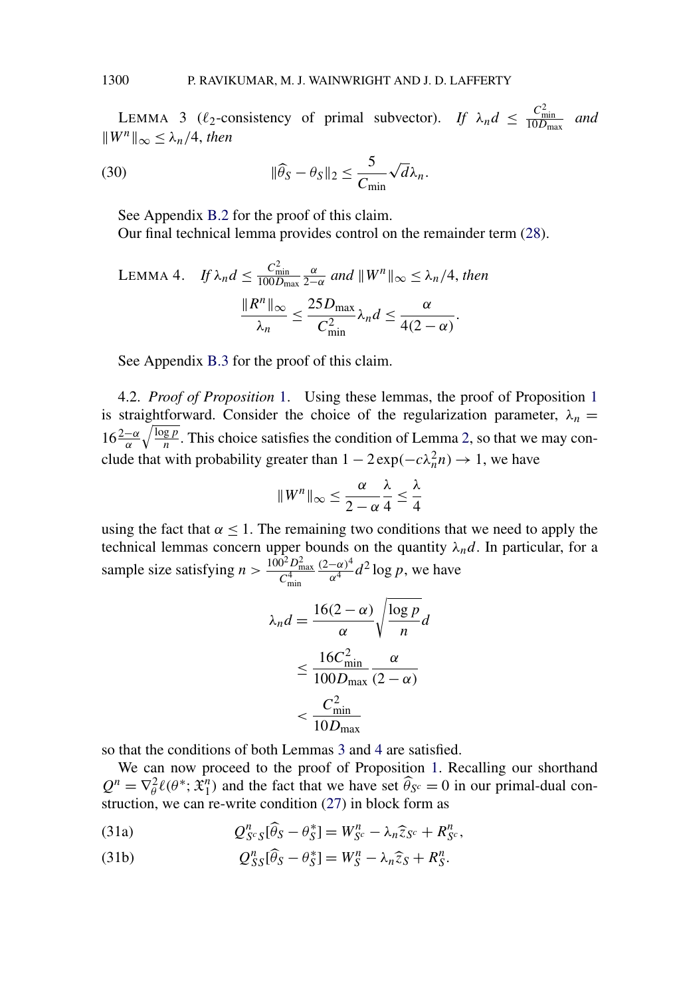<span id="page-13-0"></span>LEMMA 3 ( $\ell_2$ -consistency of primal subvector). *If*  $\lambda_n d \leq \frac{C_{\min}^2}{10 D_{\max}}$  *and*  $||W^n||_{\infty} \leq \lambda_n/4$ , *then* 

(30) 
$$
\|\widehat{\theta}_S - \theta_S\|_2 \leq \frac{5}{C_{\min}} \sqrt{d} \lambda_n.
$$

See Appendix [B.2](#page-26-0) for the proof of this claim.

Our final technical lemma provides control on the remainder term [\(28\)](#page-12-0).

LEMMA 4. If 
$$
\lambda_n d \le \frac{C_{\min}^2}{100 D_{\max}} \frac{\alpha}{2 - \alpha}
$$
 and  $||W^n||_{\infty} \le \lambda_n/4$ , then  

$$
\frac{||R^n||_{\infty}}{\lambda_n} \le \frac{25 D_{\max}}{C_{\min}^2} \lambda_n d \le \frac{\alpha}{4(2 - \alpha)}.
$$

See Appendix [B.3](#page-28-0) for the proof of this claim.

4.2. *Proof of Proposition* [1.](#page-11-0) Using these lemmas, the proof of Proposition [1](#page-11-0) is straightforward. Consider the choice of the regularization parameter,  $\lambda_n =$  $16\frac{2-\alpha}{\alpha}$  $\sqrt{\frac{\log p}{n}}$ . This choice satisfies the condition of Lemma [2,](#page-12-0) so that we may conclude that with probability greater than  $1 - 2 \exp(-c \lambda_n^2 n) \rightarrow 1$ , we have

$$
||W^n||_{\infty} \leq \frac{\alpha}{2-\alpha} \frac{\lambda}{4} \leq \frac{\lambda}{4}
$$

using the fact that  $\alpha \leq 1$ . The remaining two conditions that we need to apply the technical lemmas concern upper bounds on the quantity  $\lambda_n d$ . In particular, for a sample size satisfying  $n > \frac{100^2 D_{\text{max}}^2}{C_{\text{min}}^4}$  $\frac{(2-\alpha)^4}{\alpha^4}d^2$  log *p*, we have

$$
\lambda_n d = \frac{16(2-\alpha)}{\alpha} \sqrt{\frac{\log p}{n}} d
$$

$$
\leq \frac{16C_{\min}^2}{100D_{\max}} \frac{\alpha}{(2-\alpha)}
$$

$$
< \frac{C_{\min}^2}{10D_{\max}}
$$

so that the conditions of both Lemmas 3 and 4 are satisfied.

We can now proceed to the proof of Proposition [1.](#page-11-0) Recalling our shorthand  $Q^n = \nabla^2_{\theta} \ell(\theta^*; \mathfrak{X}_1^n)$  and the fact that we have set  $\widehat{\theta}_{S^c} = 0$  in our primal-dual construction, we can re-write condition [\(27\)](#page-12-0) in block form as

(31a) 
$$
Q_{S^cS}^n[\widehat{\theta}_S - \theta_S^*] = W_{S^c}^n - \lambda_n \widehat{z}_{S^c} + R_{S^c}^n,
$$

(31b) 
$$
Q_{SS}^n[\widehat{\theta}_S - \theta_S^*] = W_S^n - \lambda_n \widehat{z}_S + R_S^n.
$$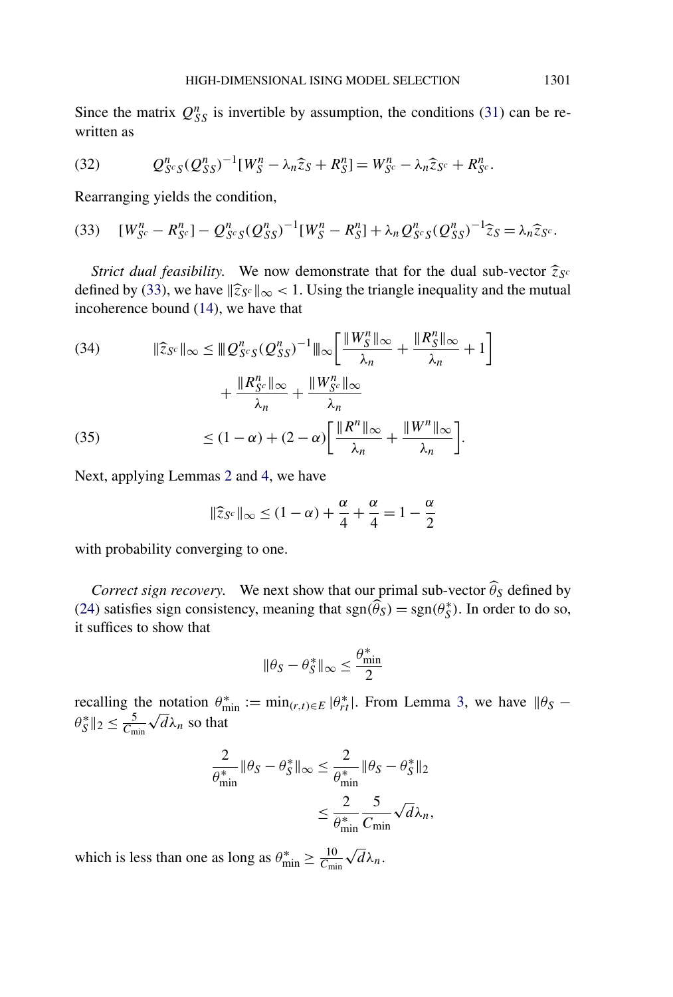Since the matrix  $Q_{SS}^n$  is invertible by assumption, the conditions [\(31\)](#page-13-0) can be rewritten as

(32) 
$$
Q_{S^cS}^n (Q_{SS}^n)^{-1} [W_S^n - \lambda_n \hat{z}_S + R_S^n] = W_{S^c}^n - \lambda_n \hat{z}_{S^c} + R_{S^c}^n.
$$

Rearranging yields the condition,

$$
(33) \quad [W_{S^c}^n - R_{S^c}^n] - Q_{S^cS}^n (Q_{SS}^n)^{-1} [W_S^n - R_S^n] + \lambda_n Q_{S^cS}^n (Q_{SS}^n)^{-1} \widehat{z}_S = \lambda_n \widehat{z}_{S^c}.
$$

*Strict dual feasibility.* We now demonstrate that for the dual sub-vector  $\hat{z}_{S^c}$ defined by (33), we have  $\|\hat{z}_{S^c}\|_{\infty}$  < 1. Using the triangle inequality and the mutual incoherence bound [\(14\)](#page-7-0), we have that

(34) 
$$
\|\widehat{z}_{S^c}\|_{\infty} \leq \|Q_{S^cS}^n (Q_{SS}^n)^{-1}\|_{\infty} \left[\frac{\|W_S^n\|_{\infty}}{\lambda_n} + \frac{\|R_S^n\|_{\infty}}{\lambda_n} + 1\right] + \frac{\|R_{S^c}^n\|_{\infty}}{\lambda_n} + \frac{\|W_{S^c}^n\|_{\infty}}{\lambda_n}
$$
  
(35) 
$$
\leq (1 - \alpha) + (2 - \alpha) \left[\frac{\|R^n\|_{\infty}}{\lambda_n} + \frac{\|W^n\|_{\infty}}{\lambda_n}\right].
$$

Next, applying Lemmas [2](#page-12-0) and [4,](#page-13-0) we have

$$
\|\widehat{z}_{S^c}\|_{\infty} \le (1 - \alpha) + \frac{\alpha}{4} + \frac{\alpha}{4} = 1 - \frac{\alpha}{2}
$$

with probability converging to one.

*Correct sign recovery.* We next show that our primal sub-vector  $\widehat{\theta}_S$  defined by [\(24\)](#page-11-0) satisfies sign consistency, meaning that  $sgn(\hat{\theta_S}) = sgn(\theta_S^*)$ . In order to do so, it suffices to show that

$$
\|\theta_S-\theta_S^*\|_\infty\leq \frac{\theta_{\min}^*}{2}
$$

recalling the notation  $\theta_{\min}^* := \min_{(r,t)\in E} |\theta_{rt}^*|$ . From Lemma [3,](#page-13-0) we have  $\|\theta_S$ *θ*<sup>\*</sup><sub>*S*</sub> $||_2 \leq \frac{5}{C_{\min}} \sqrt{d} \lambda_n$  so that

$$
\frac{2}{\theta_{\min}^*} \|\theta_S - \theta_S^*\|_{\infty} \le \frac{2}{\theta_{\min}^*} \|\theta_S - \theta_S^*\|_2
$$

$$
\le \frac{2}{\theta_{\min}^*} \frac{5}{C_{\min}} \sqrt{d\lambda_n},
$$

which is less than one as long as  $\theta_{\min}^* \ge \frac{10}{C_{\min}} \sqrt{d} \lambda_n$ .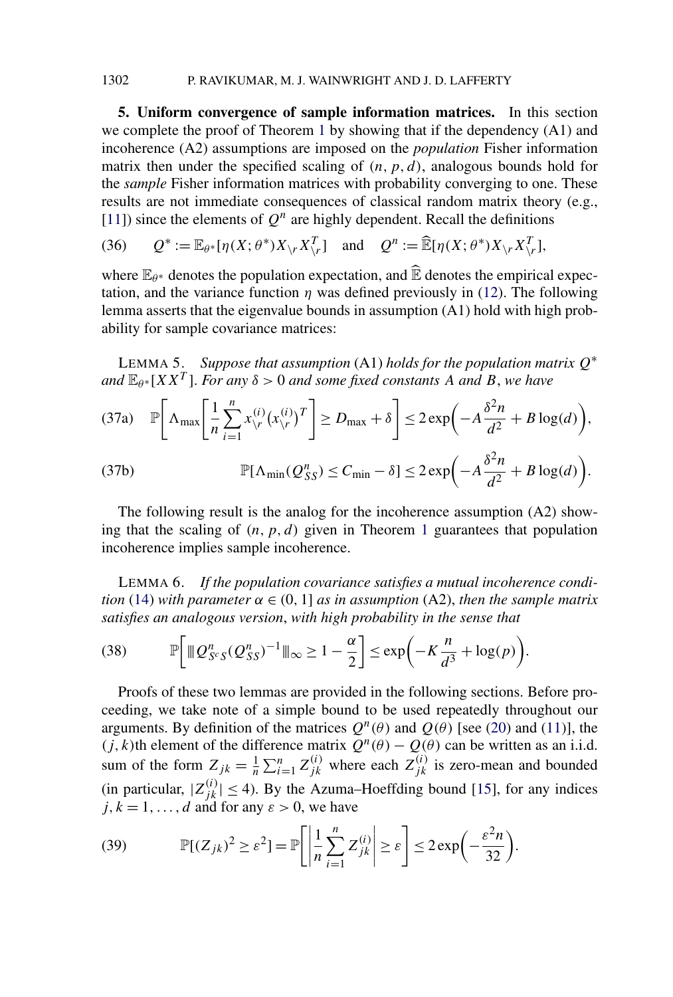<span id="page-15-0"></span>**5. Uniform convergence of sample information matrices.** In this section we complete the proof of Theorem [1](#page-8-0) by showing that if the dependency (A1) and incoherence (A2) assumptions are imposed on the *population* Fisher information matrix then under the specified scaling of  $(n, p, d)$ , analogous bounds hold for the *sample* Fisher information matrices with probability converging to one. These results are not immediate consequences of classical random matrix theory (e.g., [\[11\]](#page-30-0)) since the elements of  $Q<sup>n</sup>$  are highly dependent. Recall the definitions

(36) 
$$
Q^* := \mathbb{E}_{\theta^*}[\eta(X; \theta^*)X \setminus_r X_{\setminus r}^T]
$$
 and  $Q^n := \mathbb{E}[\eta(X; \theta^*)X \setminus_r X_{\setminus r}^T]$ ,

where  $\mathbb{E}_{\theta^*}$  denotes the population expectation, and  $\widehat{\mathbb{E}}$  denotes the empirical expectation, and the variance function  $\eta$  was defined previously in [\(12\)](#page-7-0). The following lemma asserts that the eigenvalue bounds in assumption (A1) hold with high probability for sample covariance matrices:

LEMMA 5. Suppose that assumption (A1) holds for the population matrix  $Q^*$ *and*  $\mathbb{E}_{\theta^*}[XX^T]$ . *For any*  $\delta > 0$  *and some fixed constants A and B*, *we have* 

$$
(37a) \quad \mathbb{P}\bigg[\Lambda_{\max}\bigg[\frac{1}{n}\sum_{i=1}^n x_{\setminus r}^{(i)}(x_{\setminus r}^{(i)})^T\bigg] \ge D_{\max} + \delta\bigg] \le 2\exp\bigg(-A\frac{\delta^2 n}{d^2} + B\log(d)\bigg),
$$

(37b) 
$$
\mathbb{P}[\Lambda_{\min}(Q_{SS}^n) \leq C_{\min} - \delta] \leq 2 \exp\left(-A\frac{\delta^2 n}{d^2} + B\log(d)\right).
$$

The following result is the analog for the incoherence assumption (A2) showing that the scaling of  $(n, p, d)$  given in Theorem [1](#page-8-0) guarantees that population incoherence implies sample incoherence.

LEMMA 6. *If the population covariance satisfies a mutual incoherence condition* [\(14\)](#page-7-0) *with parameter*  $\alpha \in (0, 1]$  *as in assumption* (A2), *then the sample matrix satisfies an analogous version*, *with high probability in the sense that*

(38) 
$$
\mathbb{P}\bigg[\|\mathcal{Q}_{S^cS}^n(\mathcal{Q}_{SS}^n)^{-1}\|_{\infty}\geq 1-\frac{\alpha}{2}\bigg]\leq \exp\bigg(-K\frac{n}{d^3}+\log(p)\bigg).
$$

Proofs of these two lemmas are provided in the following sections. Before proceeding, we take note of a simple bound to be used repeatedly throughout our arguments. By definition of the matrices  $Q^n(\theta)$  and  $Q(\theta)$  [see [\(20\)](#page-9-0) and [\(11\)](#page-7-0)], the  $(j, k)$ th element of the difference matrix  $Q^n(\theta) - Q(\theta)$  can be written as an i.i.d. sum of the form  $Z_{jk} = \frac{1}{n} \sum_{i=1}^{n} Z_{jk}^{(i)}$  where each  $Z_{jk}^{(i)}$  is zero-mean and bounded (in particular,  $|Z_{jk}^{(i)}| \leq 4$ ). By the Azuma–Hoeffding bound [\[15\]](#page-31-0), for any indices  $j, k = 1, \ldots, d$  and for any  $\varepsilon > 0$ , we have

(39) 
$$
\mathbb{P}[(Z_{jk})^2 \ge \varepsilon^2] = \mathbb{P}\Bigg[\bigg|\frac{1}{n}\sum_{i=1}^n Z_{jk}^{(i)}\bigg| \ge \varepsilon\Bigg] \le 2\exp\bigg(-\frac{\varepsilon^2 n}{32}\bigg).
$$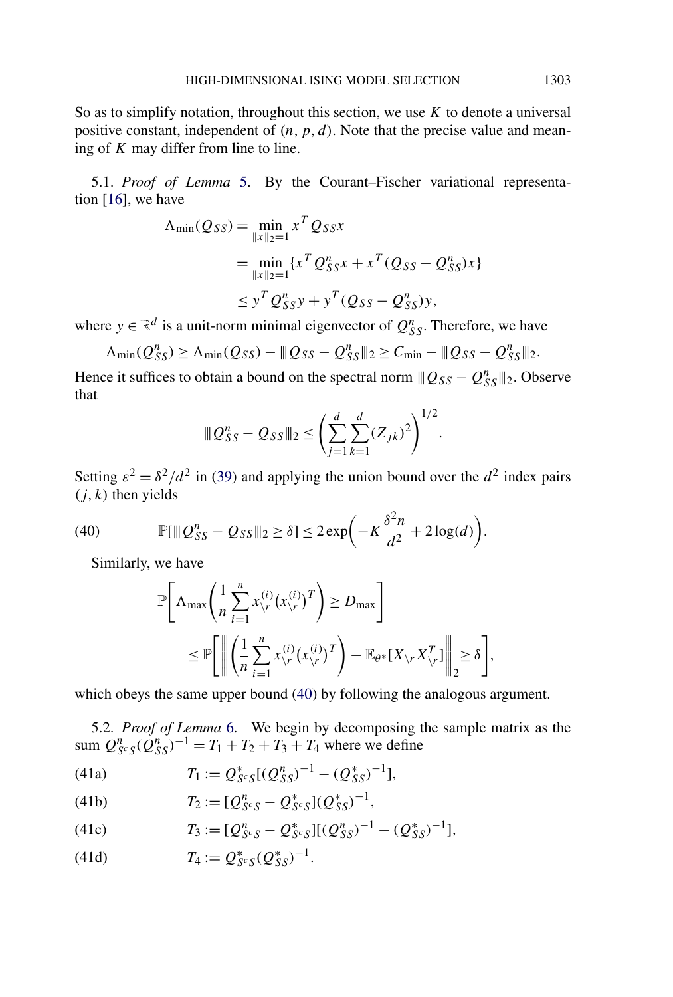<span id="page-16-0"></span>So as to simplify notation, throughout this section, we use *K* to denote a universal positive constant, independent of  $(n, p, d)$ . Note that the precise value and meaning of *K* may differ from line to line.

5.1. *Proof of Lemma* [5.](#page-15-0) By the Courant–Fischer variational representation [\[16\]](#page-31-0), we have

$$
\Lambda_{\min}(Q_{SS}) = \min_{\|x\|_2=1} x^T Q_{SS} x
$$
  
= 
$$
\min_{\|x\|_2=1} \{x^T Q_{SS}^n x + x^T (Q_{SS} - Q_{SS}^n) x \}
$$
  

$$
\leq y^T Q_{SS}^n y + y^T (Q_{SS} - Q_{SS}^n) y,
$$

where  $y \in \mathbb{R}^d$  is a unit-norm minimal eigenvector of  $Q_{SS}^n$ . Therefore, we have

$$
\Lambda_{\min}(Q_{SS}^n) \geq \Lambda_{\min}(Q_{SS}) - ||Q_{SS} - Q_{SS}^n||_2 \geq C_{\min} - ||Q_{SS} - Q_{SS}^n||_2.
$$

Hence it suffices to obtain a bound on the spectral norm  $||Q_{SS} - Q_{SS}^n||_2$ . Observe that

$$
|\!|\!| \mathcal{Q}_{SS}^n - Q_{SS} |\!|\!|_{2} \leq \left( \sum_{j=1}^d \sum_{k=1}^d (Z_{jk})^2 \right)^{1/2}.
$$

Setting  $\varepsilon^2 = \frac{\delta^2}{d^2}$  in [\(39\)](#page-15-0) and applying the union bound over the  $d^2$  index pairs *(j,k)* then yields

(40) 
$$
\mathbb{P}[\|Q_{SS}^n - Q_{SS}\|_2 \ge \delta] \le 2 \exp\bigg(-K\frac{\delta^2 n}{d^2} + 2\log(d)\bigg).
$$

Similarly, we have

$$
\mathbb{P}\bigg[\Lambda_{\max}\bigg(\frac{1}{n}\sum_{i=1}^n x_{\backslash r}^{(i)}(x_{\backslash r}^{(i)})^T\bigg) \ge D_{\max}\bigg] \n\le \mathbb{P}\bigg[\bigg\|\bigg(\frac{1}{n}\sum_{i=1}^n x_{\backslash r}^{(i)}(x_{\backslash r}^{(i)})^T\bigg) - \mathbb{E}_{\theta^*}[X_{\backslash r}X_{\backslash r}^T]\bigg\|_2 \ge \delta\bigg],
$$

which obeys the same upper bound (40) by following the analogous argument.

5.2. *Proof of Lemma* [6.](#page-15-0) We begin by decomposing the sample matrix as the  $\sum_{S \subset S}^{n} (Q_{SS}^{n})^{-1} = T_1 + T_2 + T_3 + T_4$  where we define

(41a) 
$$
T_1 := Q_{S^cS}^*[(Q_{SS}^n)^{-1} - (Q_{SS}^*)^{-1}],
$$

(41b) 
$$
T_2 := [Q_{S^cS}^n - Q_{S^cS}^*](Q_{SS}^*)^{-1},
$$

(41c) 
$$
T_3 := [Q_{S^cS}^n - Q_{S^cS}^*] [(Q_{SS}^n)^{-1} - (Q_{SS}^*)^{-1}],
$$

(41d) 
$$
T_4 := Q_{S^cS}^*(Q_{SS}^*)^{-1}.
$$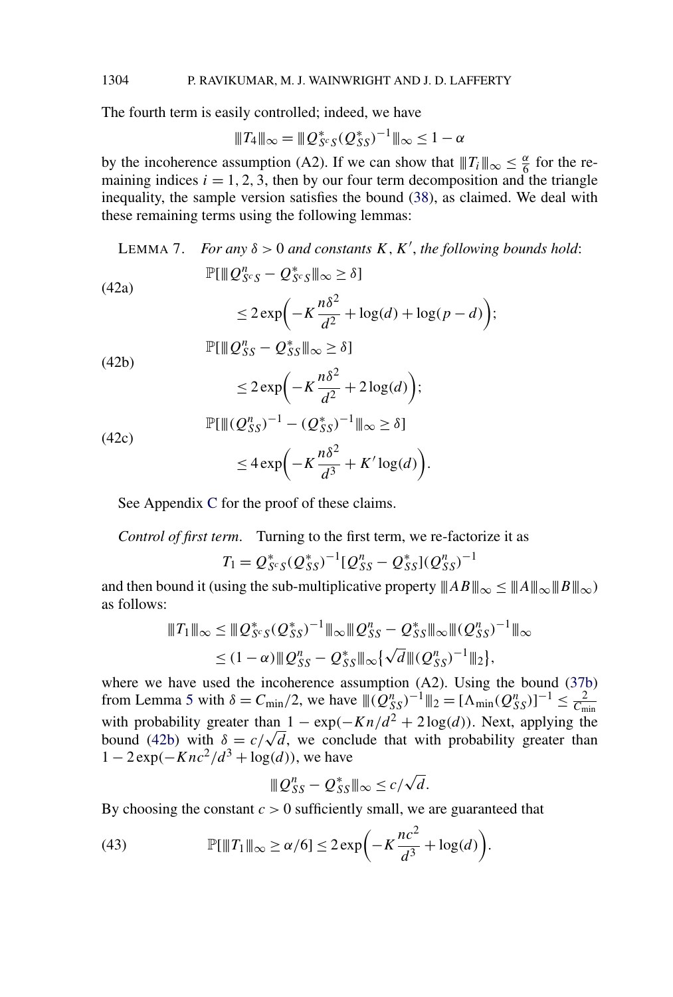<span id="page-17-0"></span>The fourth term is easily controlled; indeed, we have

 $P(x) = P(x)$ 

$$
|||T_4||_{\infty} = |||Q_{S^cS}^*(Q_{SS}^*)^{-1}||_{\infty} \leq 1 - \alpha
$$

by the incoherence assumption (A2). If we can show that  $||T_i||_{\infty} \leq \frac{\alpha}{6}$  for the remaining indices  $i = 1, 2, 3$ , then by our four term decomposition and the triangle inequality, the sample version satisfies the bound [\(38\)](#page-15-0), as claimed. We deal with these remaining terms using the following lemmas:

LEMMA 7. *For any*  $\delta > 0$  *and constants*  $K, K'$ , *the following bounds hold*:

(42a)  
\n
$$
\mathbb{P}[\|Q_{S^cS}^n - Q_{S^cS}^*\|_{\infty} \ge \delta]
$$
\n
$$
\le 2 \exp\left(-K \frac{n\delta^2}{d^2} + \log(d) + \log(p-d)\right);
$$
\n
$$
\mathbb{P}[\|Q_{SS}^n - Q_{SS}^*\|_{\infty} \ge \delta]
$$
\n
$$
\le 2 \exp\left(-K \frac{n\delta^2}{d^2} + 2\log(d)\right);
$$
\n
$$
\mathbb{P}[\| (Q_{SS}^n)^{-1} - (Q_{SS}^*)^{-1} \|_{\infty} \ge \delta]
$$
\n(42c)

$$
\leq 4 \exp\biggl(-K\frac{n\delta^2}{d^3} + K'\log(d)\biggr).
$$

See Appendix [C](#page-29-0) for the proof of these claims.

*Control of first term*. Turning to the first term, we re-factorize it as

$$
T_1 = Q_{S^cS}^*(Q_{SS}^*)^{-1}[Q_{SS}^n - Q_{SS}^*](Q_{SS}^n)^{-1}
$$

and then bound it (using the sub-multiplicative property  $||AB||_{\infty} \leq ||A||_{\infty} ||B||_{\infty}$ ) as follows:

$$
\begin{aligned} \|T_1\|_{\infty} &\leq \|Q_{S^cS}^*(Q_{SS}^*)^{-1}\|_{\infty} \|Q_{SS}^n - Q_{SS}^*\|_{\infty} \| (Q_{SS}^n)^{-1} \|_{\infty} \\ &\leq (1-\alpha) \|Q_{SS}^n - Q_{SS}^*\|_{\infty} \{\sqrt{d} \| (Q_{SS}^n)^{-1} \|_{2} \}, \end{aligned}
$$

where we have used the incoherence assumption (A2). Using the bound [\(37b\)](#page-15-0) from Lemma [5](#page-15-0) with  $\delta = C_{\min}/2$ , we have  $\|(\hat{Q}_{SS}^n)^{-1}\|_2 = [\Lambda_{\min}(Q_{SS}^n)]^{-1} \le \frac{2}{C_{\min}}$ with probability greater than  $1 - \exp(-\frac{Kn}{d^2} + 2\log(d))$ . Next, applying the bound (42b) with  $\delta = c/\sqrt{d}$ , we conclude that with probability greater than  $1 - 2 \exp(-Knc^2/d^3 + \log(d))$ , we have

$$
\mathbb{I}\mathcal{Q}_{SS}^n - \mathcal{Q}_{SS}^* \mathbb{I}\in \mathcal{C}/\sqrt{d}.
$$

By choosing the constant  $c > 0$  sufficiently small, we are guaranteed that

(43) 
$$
\mathbb{P}[\|T_1\|_{\infty} \ge \alpha/6] \le 2\exp\biggl(-K\frac{nc^2}{d^3} + \log(d)\biggr).
$$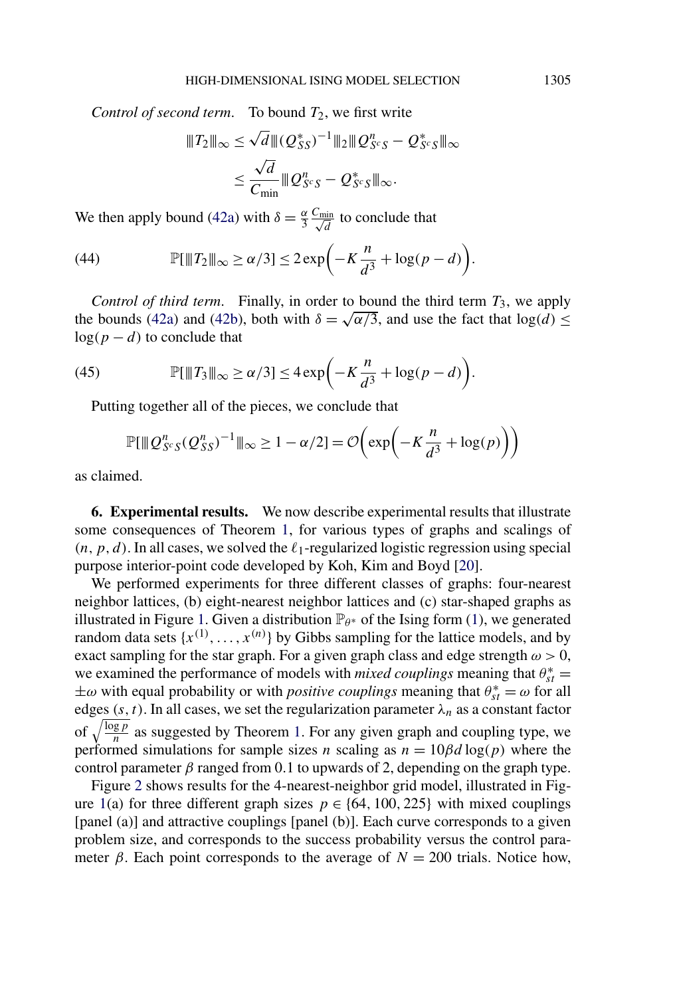<span id="page-18-0"></span>*Control of second term.* To bound  $T_2$ , we first write

$$
|||T_2||_{\infty} \le \sqrt{d} ||| (Q_{SS}^*)^{-1} |||_{2} ||| Q_{S^cS}^n - Q_{S^cS}^* ||_{\infty}
$$
  

$$
\le \frac{\sqrt{d}}{C_{\min}} ||| Q_{S^cS}^n - Q_{S^cS}^* ||_{\infty}.
$$

We then apply bound [\(42a\)](#page-17-0) with  $\delta = \frac{\alpha}{3}$  $\frac{C_{\text{min}}}{\sqrt{d}}$  to conclude that

(44) 
$$
\mathbb{P}[\|T_2\|_{\infty} \ge \alpha/3] \le 2\exp\bigg(-K\frac{n}{d^3}+\log(p-d)\bigg).
$$

*Control of third term*. Finally, in order to bound the third term *T*3, we apply the bounds [\(42a\)](#page-17-0) and [\(42b\)](#page-17-0), both with  $\delta = \sqrt{\alpha/3}$ , and use the fact that  $\log(d) \le$  $log(p - d)$  to conclude that

(45) 
$$
\mathbb{P}[\|T_3\|_{\infty} \ge \alpha/3] \le 4 \exp\left(-K\frac{n}{d^3} + \log(p-d)\right).
$$

Putting together all of the pieces, we conclude that

$$
\mathbb{P}[\|Q^n_{S^cS}(Q^n_{SS})^{-1}\|_{\infty} \ge 1 - \alpha/2] = \mathcal{O}\left(\exp\left(-K\frac{n}{d^3} + \log(p)\right)\right)
$$

as claimed.

**6. Experimental results.** We now describe experimental results that illustrate some consequences of Theorem [1,](#page-8-0) for various types of graphs and scalings of  $(n, p, d)$ . In all cases, we solved the  $\ell_1$ -regularized logistic regression using special purpose interior-point code developed by Koh, Kim and Boyd [\[20\]](#page-31-0).

We performed experiments for three different classes of graphs: four-nearest neighbor lattices, (b) eight-nearest neighbor lattices and (c) star-shaped graphs as illustrated in Figure [1.](#page-19-0) Given a distribution  $\mathbb{P}_{\theta^*}$  of the Ising form [\(1\)](#page-3-0), we generated random data sets  $\{x^{(1)},...,x^{(n)}\}$  by Gibbs sampling for the lattice models, and by exact sampling for the star graph. For a given graph class and edge strength  $\omega > 0$ , we examined the performance of models with *mixed couplings* meaning that  $\theta_{st}^* =$  $\pm \omega$  with equal probability or with *positive couplings* meaning that  $\theta_{st}^* = \omega$  for all edges  $(s, t)$ . In all cases, we set the regularization parameter  $\lambda_n$  as a constant factor of  $\sqrt{\frac{\log p}{n}}$  as suggested by Theorem [1.](#page-8-0) For any given graph and coupling type, we performed simulations for sample sizes *n* scaling as  $n = 10\beta d \log(p)$  where the control parameter  $\beta$  ranged from 0.1 to upwards of 2, depending on the graph type.

Figure [2](#page-19-0) shows results for the 4-nearest-neighbor grid model, illustrated in Fig-ure [1\(](#page-19-0)a) for three different graph sizes  $p \in \{64, 100, 225\}$  with mixed couplings [panel (a)] and attractive couplings [panel (b)]. Each curve corresponds to a given problem size, and corresponds to the success probability versus the control parameter  $\beta$ . Each point corresponds to the average of  $N = 200$  trials. Notice how,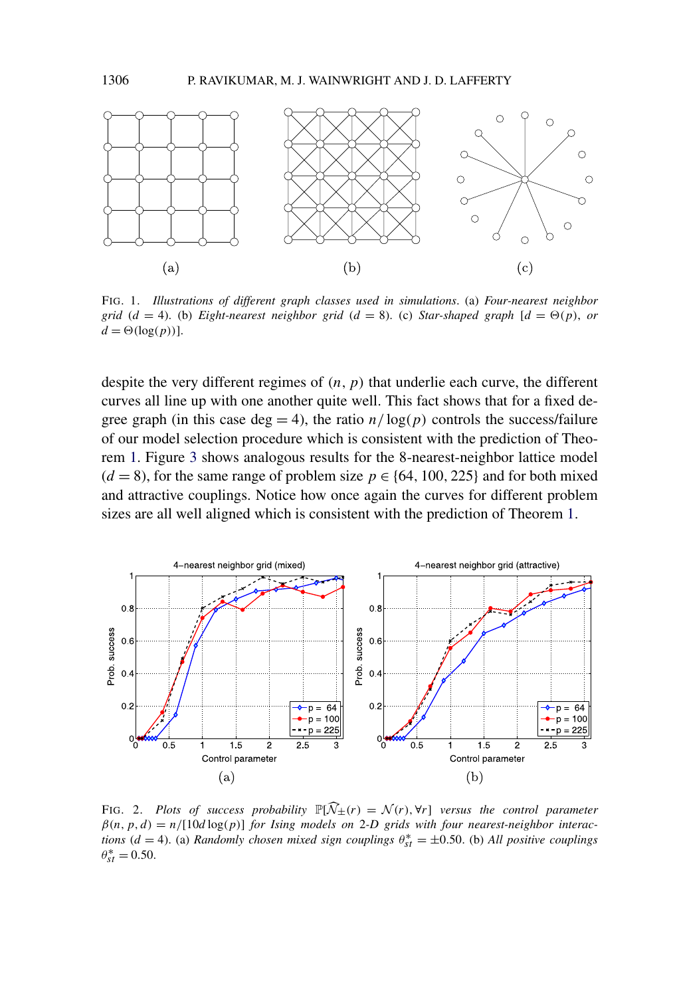<span id="page-19-0"></span>

FIG. 1. *Illustrations of different graph classes used in simulations*. (a) *Four-nearest neighbor grid* ( $d = 4$ ). (b) *Eight-nearest neighbor grid* ( $d = 8$ ). (c) *Star-shaped graph*  $[d = \Theta(p)$ , *or*  $d = \Theta(\log(p))$ .

despite the very different regimes of  $(n, p)$  that underlie each curve, the different curves all line up with one another quite well. This fact shows that for a fixed degree graph (in this case  $deg = 4$ ), the ratio  $n/log(p)$  controls the success/failure of our model selection procedure which is consistent with the prediction of Theorem [1.](#page-8-0) Figure [3](#page-20-0) shows analogous results for the 8-nearest-neighbor lattice model  $(d = 8)$ , for the same range of problem size  $p \in \{64, 100, 225\}$  and for both mixed and attractive couplings. Notice how once again the curves for different problem sizes are all well aligned which is consistent with the prediction of Theorem [1.](#page-8-0)



FIG. 2. *Plots of success probability*  $\mathbb{P}[\widehat{N}_{\pm}(r) = \mathcal{N}(r), \forall r]$  *versus the control parameter β(n,p,d)* = *n/*[10*d* log*(p)*] *for Ising models on* 2*-D grids with four nearest-neighbor interactions* ( $d = 4$ ). (a) *Randomly chosen mixed sign couplings*  $\theta_{st}^* = \pm 0.50$ . (b) *All positive couplings*  $\theta_{st}^* = 0.50$ .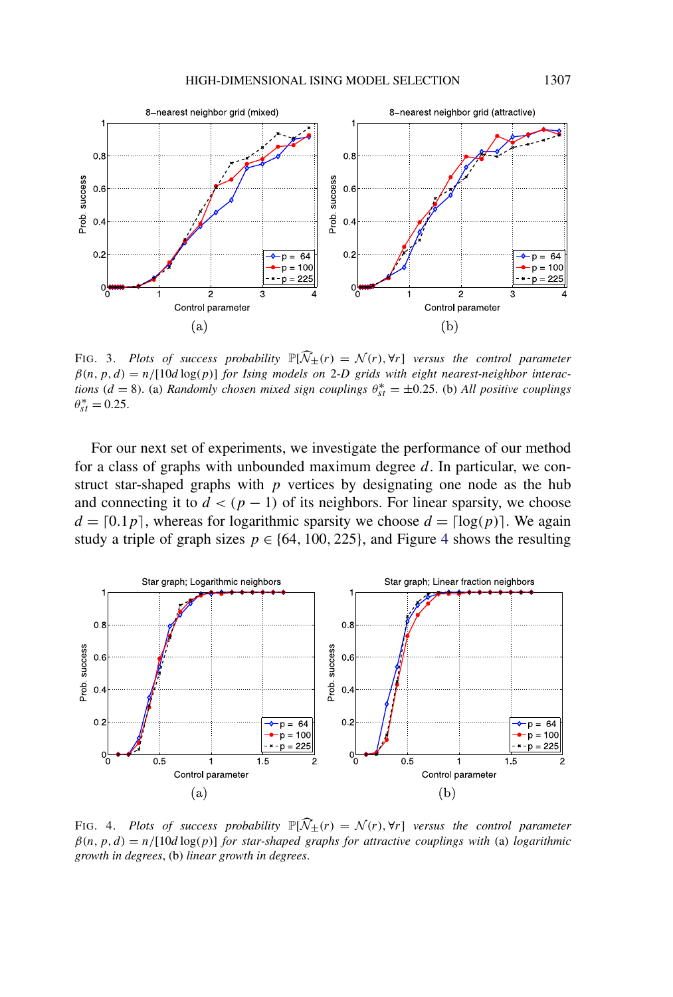<span id="page-20-0"></span>

FIG. 3. *Plots of success probability*  $\mathbb{P}[\widehat{N}_{\pm}(r) = \mathcal{N}(r), \forall r]$  *versus the control parameter*  $\beta(n, p, d) = n/[10d \log(p)]$  *for Ising models on* 2-*D grids with eight nearest-neighbor interactions* ( $d = 8$ ). (a) *Randomly chosen mixed sign couplings*  $\theta_{st}^* = \pm 0.25$ . (b) *All positive couplings*  $\theta_{st}^* = 0.25$ .

For our next set of experiments, we investigate the performance of our method for a class of graphs with unbounded maximum degree *d*. In particular, we construct star-shaped graphs with *p* vertices by designating one node as the hub and connecting it to  $d < (p - 1)$  of its neighbors. For linear sparsity, we choose  $d = [0.1p]$ , whereas for logarithmic sparsity we choose  $d = [\log(p)]$ . We again study a triple of graph sizes  $p \in \{64, 100, 225\}$ , and Figure 4 shows the resulting



FIG. 4. *Plots of success probability*  $\mathbb{P}[\widehat{N}_{\pm}(r) = \mathcal{N}(r), \forall r]$  *versus the control parameter β(n,p,d)* = *n/*[10*d* log*(p)*] *for star-shaped graphs for attractive couplings with* (a) *logarithmic growth in degrees*, (b) *linear growth in degrees*.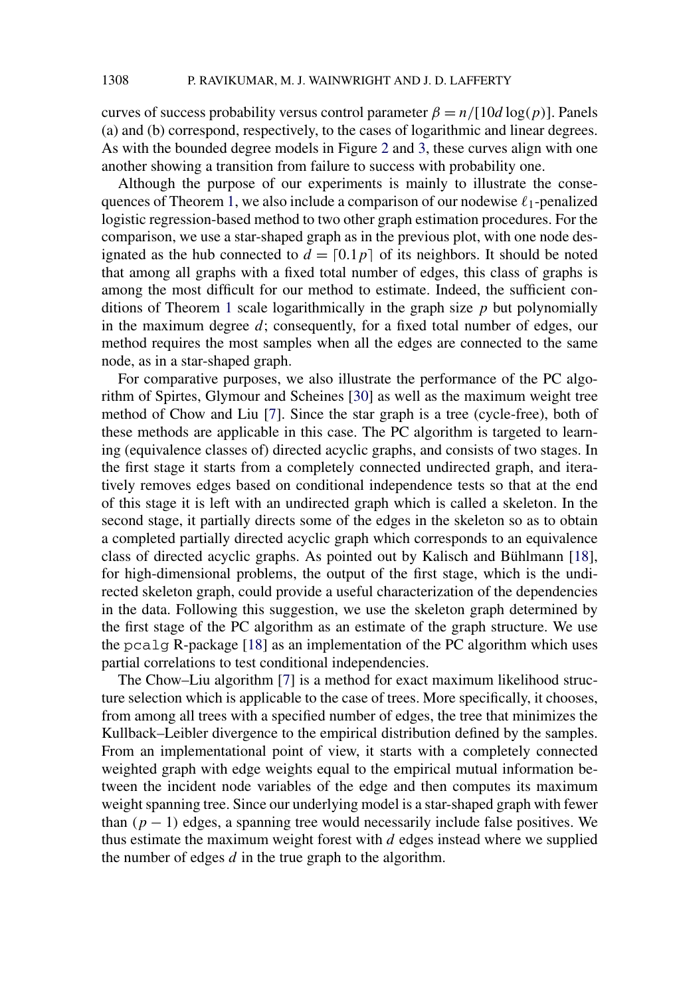curves of success probability versus control parameter  $\beta = n/[10d \log(p)]$ . Panels (a) and (b) correspond, respectively, to the cases of logarithmic and linear degrees. As with the bounded degree models in Figure [2](#page-19-0) and [3,](#page-20-0) these curves align with one another showing a transition from failure to success with probability one.

Although the purpose of our experiments is mainly to illustrate the conse-quences of Theorem [1,](#page-8-0) we also include a comparison of our nodewise  $\ell_1$ -penalized logistic regression-based method to two other graph estimation procedures. For the comparison, we use a star-shaped graph as in the previous plot, with one node designated as the hub connected to  $d = [0.1p]$  of its neighbors. It should be noted that among all graphs with a fixed total number of edges, this class of graphs is among the most difficult for our method to estimate. Indeed, the sufficient conditions of Theorem [1](#page-8-0) scale logarithmically in the graph size *p* but polynomially in the maximum degree *d*; consequently, for a fixed total number of edges, our method requires the most samples when all the edges are connected to the same node, as in a star-shaped graph.

For comparative purposes, we also illustrate the performance of the PC algorithm of Spirtes, Glymour and Scheines [\[30\]](#page-31-0) as well as the maximum weight tree method of Chow and Liu [\[7\]](#page-30-0). Since the star graph is a tree (cycle-free), both of these methods are applicable in this case. The PC algorithm is targeted to learning (equivalence classes of) directed acyclic graphs, and consists of two stages. In the first stage it starts from a completely connected undirected graph, and iteratively removes edges based on conditional independence tests so that at the end of this stage it is left with an undirected graph which is called a skeleton. In the second stage, it partially directs some of the edges in the skeleton so as to obtain a completed partially directed acyclic graph which corresponds to an equivalence class of directed acyclic graphs. As pointed out by Kalisch and Bühlmann [\[18\]](#page-31-0), for high-dimensional problems, the output of the first stage, which is the undirected skeleton graph, could provide a useful characterization of the dependencies in the data. Following this suggestion, we use the skeleton graph determined by the first stage of the PC algorithm as an estimate of the graph structure. We use the pcalg R-package [\[18\]](#page-31-0) as an implementation of the PC algorithm which uses partial correlations to test conditional independencies.

The Chow–Liu algorithm [\[7\]](#page-30-0) is a method for exact maximum likelihood structure selection which is applicable to the case of trees. More specifically, it chooses, from among all trees with a specified number of edges, the tree that minimizes the Kullback–Leibler divergence to the empirical distribution defined by the samples. From an implementational point of view, it starts with a completely connected weighted graph with edge weights equal to the empirical mutual information between the incident node variables of the edge and then computes its maximum weight spanning tree. Since our underlying model is a star-shaped graph with fewer than  $(p - 1)$  edges, a spanning tree would necessarily include false positives. We thus estimate the maximum weight forest with *d* edges instead where we supplied the number of edges *d* in the true graph to the algorithm.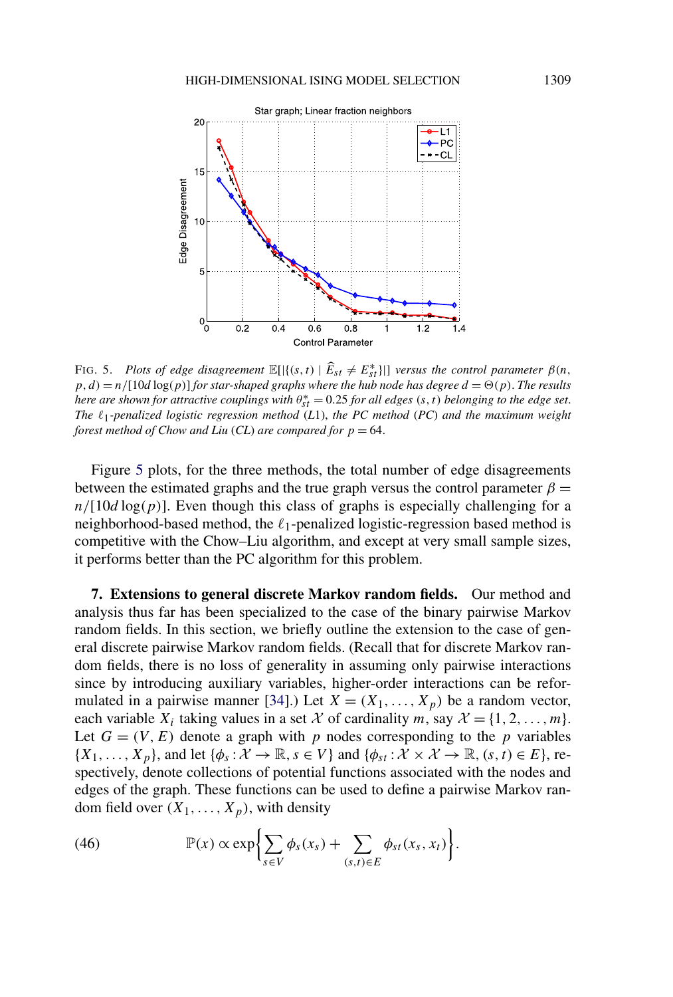<span id="page-22-0"></span>

FIG. 5. *Plots of edge disagreement*  $\mathbb{E}[ |\{(s,t) | \widehat{E}_{st} \neq E_{st}^* \}|]$  *versus the control parameter*  $\beta(n,$  $p$ ,  $d$ ) =  $n/[10d \log(p)]$  *for star-shaped graphs where the hub node has degree*  $d = \Theta(p)$ . *The results here are shown for attractive couplings with*  $\theta_{st}^* = 0.25$  *for all edges*  $(s, t)$  *belonging to the edge set. The -*1*-penalized logistic regression method* (*L*1), *the PC method* (*PC*) *and the maximum weight forest method of Chow and Liu (CL) are compared for*  $p = 64$ .

Figure 5 plots, for the three methods, the total number of edge disagreements between the estimated graphs and the true graph versus the control parameter  $\beta$  = *n/*[10*d* log*(p)*]. Even though this class of graphs is especially challenging for a neighborhood-based method, the  $\ell_1$ -penalized logistic-regression based method is competitive with the Chow–Liu algorithm, and except at very small sample sizes, it performs better than the PC algorithm for this problem.

**7. Extensions to general discrete Markov random fields.** Our method and analysis thus far has been specialized to the case of the binary pairwise Markov random fields. In this section, we briefly outline the extension to the case of general discrete pairwise Markov random fields. (Recall that for discrete Markov random fields, there is no loss of generality in assuming only pairwise interactions since by introducing auxiliary variables, higher-order interactions can be refor-mulated in a pairwise manner [\[34\]](#page-31-0).) Let  $X = (X_1, \ldots, X_p)$  be a random vector, each variable  $X_i$  taking values in a set X of cardinality *m*, say  $\mathcal{X} = \{1, 2, ..., m\}$ . Let  $G = (V, E)$  denote a graph with *p* nodes corresponding to the *p* variables  ${X_1, \ldots, X_p}$ , and let  ${\phi_s : \mathcal{X} \to \mathbb{R}, s \in V}$  and  ${\phi_{st} : \mathcal{X} \times \mathcal{X} \to \mathbb{R}, (s, t) \in E}$ , respectively, denote collections of potential functions associated with the nodes and edges of the graph. These functions can be used to define a pairwise Markov random field over  $(X_1, \ldots, X_p)$ , with density

(46) 
$$
\mathbb{P}(x) \propto \exp\biggl\{\sum_{s \in V} \phi_s(x_s) + \sum_{(s,t) \in E} \phi_{st}(x_s, x_t)\biggr\}.
$$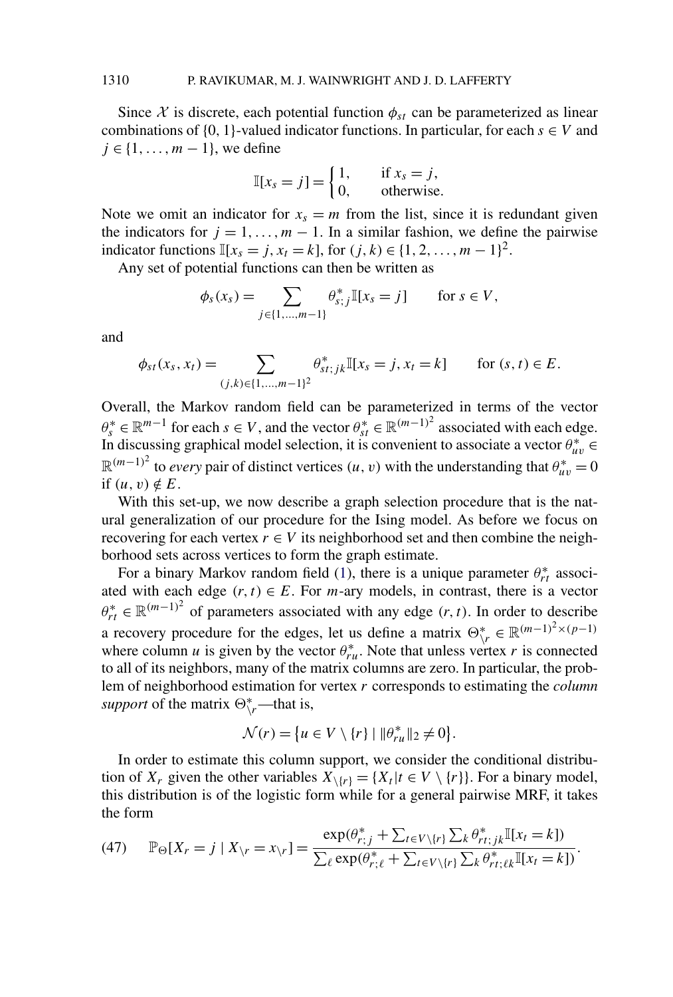<span id="page-23-0"></span>Since  $X$  is discrete, each potential function  $\phi_{st}$  can be parameterized as linear combinations of  $\{0, 1\}$ -valued indicator functions. In particular, for each  $s \in V$  and  $j \in \{1, \ldots, m-1\}$ , we define

$$
\mathbb{I}[x_s = j] = \begin{cases} 1, & \text{if } x_s = j, \\ 0, & \text{otherwise.} \end{cases}
$$

Note we omit an indicator for  $x_s = m$  from the list, since it is redundant given the indicators for  $j = 1, \ldots, m - 1$ . In a similar fashion, we define the pairwise indicator functions  $\mathbb{I}[x_s = j, x_t = k]$ , for  $(j, k) \in \{1, 2, ..., m - 1\}^2$ .

Any set of potential functions can then be written as

$$
\phi_s(x_s) = \sum_{j \in \{1, ..., m-1\}} \theta_{s;j}^* \mathbb{I}[x_s = j] \quad \text{for } s \in V,
$$

and

$$
\phi_{st}(x_s, x_t) = \sum_{(j,k) \in \{1, \dots, m-1\}^2} \theta_{st;\, jk}^* \mathbb{I}[x_s = j, x_t = k] \quad \text{for } (s,t) \in E.
$$

Overall, the Markov random field can be parameterized in terms of the vector  $\theta_s^* \in \mathbb{R}^{m-1}$  for each  $s \in V$ , and the vector  $\theta_{st}^* \in \mathbb{R}^{(m-1)^2}$  associated with each edge. In discussing graphical model selection, it is convenient to associate a vector  $\theta_{uv}^* \in$  $\mathbb{R}^{(m-1)^2}$  to *every* pair of distinct vertices  $(u, v)$  with the understanding that  $\theta_{uv}^* = 0$ if  $(u, v) \notin E$ .

With this set-up, we now describe a graph selection procedure that is the natural generalization of our procedure for the Ising model. As before we focus on recovering for each vertex  $r \in V$  its neighborhood set and then combine the neighborhood sets across vertices to form the graph estimate.

For a binary Markov random field [\(1\)](#page-3-0), there is a unique parameter  $\theta_{rt}^*$  associated with each edge  $(r, t) \in E$ . For *m*-ary models, in contrast, there is a vector  $\theta_{rt}^* \in \mathbb{R}^{(m-1)^2}$  of parameters associated with any edge  $(r, t)$ . In order to describe a recovery procedure for the edges, let us define a matrix  $\Theta^*_{\setminus r} \in \mathbb{R}^{(m-1)^2 \times (p-1)}$ where column *u* is given by the vector  $\theta_{ru}^*$ . Note that unless vertex *r* is connected to all of its neighbors, many of the matrix columns are zero. In particular, the problem of neighborhood estimation for vertex *r* corresponds to estimating the *column support* of the matrix  $\Theta^*_{\setminus r}$ —that is,

$$
\mathcal{N}(r) = \{ u \in V \setminus \{r\} \mid ||\theta_{ru}^*||_2 \neq 0 \}.
$$

In order to estimate this column support, we consider the conditional distribution of  $X_r$  given the other variables  $X_{\{r\}} = \{X_t | t \in V \setminus \{r\}\}\)$ . For a binary model, this distribution is of the logistic form while for a general pairwise MRF, it takes the form

(47) 
$$
\mathbb{P}_{\Theta}[X_r = j \mid X_{\setminus r} = x_{\setminus r}] = \frac{\exp(\theta_{r;j}^* + \sum_{t \in V \setminus \{r\}} \sum_k \theta_{rt;jk}^* \mathbb{I}[x_t = k])}{\sum_{\ell} \exp(\theta_{r;\ell}^* + \sum_{t \in V \setminus \{r\}} \sum_k \theta_{rt;\ell k}^* \mathbb{I}[x_t = k])}.
$$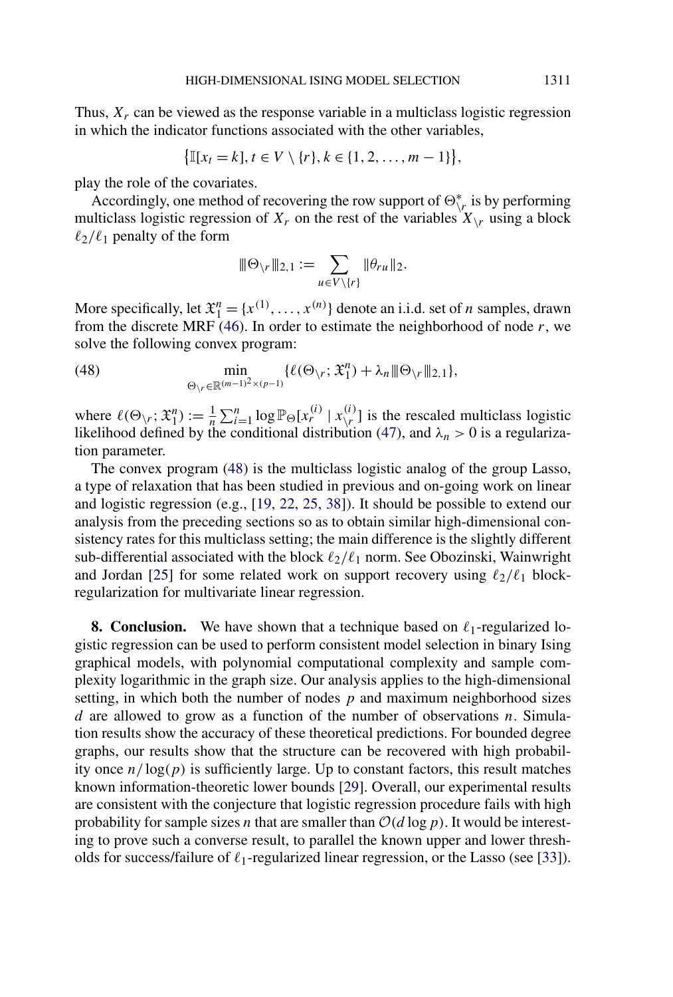<span id="page-24-0"></span>Thus,  $X_r$  can be viewed as the response variable in a multiclass logistic regression in which the indicator functions associated with the other variables,

$$
\big\{ \mathbb{I}[x_t = k], t \in V \setminus \{r\}, k \in \{1, 2, \dots, m - 1\} \big\},\
$$

play the role of the covariates.

Accordingly, one method of recovering the row support of  $\Theta^*_{\setminus r}$  is by performing multiclass logistic regression of  $X_r$  on the rest of the variables  $X_{\gamma r}$  using a block  $\ell_2/\ell_1$  penalty of the form

$$
|\!|\!| \Theta_{\setminus r} |\!|\!|_{2,1}:= \sum_{u\in V\setminus \{r\}} |\!|\!| \theta_{ru} |\!|\!|_{2}.
$$

More specifically, let  $\mathfrak{X}_1^n = \{x^{(1)}, \ldots, x^{(n)}\}$  denote an i.i.d. set of *n* samples, drawn from the discrete MRF [\(46\)](#page-22-0). In order to estimate the neighborhood of node *r*, we solve the following convex program:

(48) 
$$
\min_{\Theta_{\setminus r} \in \mathbb{R}^{(m-1)^2 \times (p-1)}} \{ \ell(\Theta_{\setminus r}; \mathfrak{X}_1^n) + \lambda_n \|\Theta_{\setminus r}\|_{2,1} \},
$$

where  $\ell(\Theta_{\setminus r}; \mathfrak{X}_1^n) := \frac{1}{n} \sum_{i=1}^n \log \mathbb{P}_{\Theta}[x_r^{(i)} \mid x_{\setminus r}^{(i)}]$  is the rescaled multiclass logistic likelihood defined by the conditional distribution [\(47\)](#page-23-0), and  $\lambda_n > 0$  is a regularization parameter.

The convex program (48) is the multiclass logistic analog of the group Lasso, a type of relaxation that has been studied in previous and on-going work on linear and logistic regression (e.g., [\[19, 22, 25, 38\]](#page-31-0)). It should be possible to extend our analysis from the preceding sections so as to obtain similar high-dimensional consistency rates for this multiclass setting; the main difference is the slightly different sub-differential associated with the block  $\ell_2/\ell_1$  norm. See Obozinski, Wainwright and Jordan [\[25\]](#page-31-0) for some related work on support recovery using  $\ell_2/\ell_1$  blockregularization for multivariate linear regression.

**8. Conclusion.** We have shown that a technique based on  $\ell_1$ -regularized logistic regression can be used to perform consistent model selection in binary Ising graphical models, with polynomial computational complexity and sample complexity logarithmic in the graph size. Our analysis applies to the high-dimensional setting, in which both the number of nodes  $p$  and maximum neighborhood sizes *d* are allowed to grow as a function of the number of observations *n*. Simulation results show the accuracy of these theoretical predictions. For bounded degree graphs, our results show that the structure can be recovered with high probability once  $n/\log(p)$  is sufficiently large. Up to constant factors, this result matches known information-theoretic lower bounds [\[29\]](#page-31-0). Overall, our experimental results are consistent with the conjecture that logistic regression procedure fails with high probability for sample sizes *n* that are smaller than  $O(d \log p)$ . It would be interesting to prove such a converse result, to parallel the known upper and lower thresholds for success/failure of  $\ell_1$ -regularized linear regression, or the Lasso (see [\[33\]](#page-31-0)).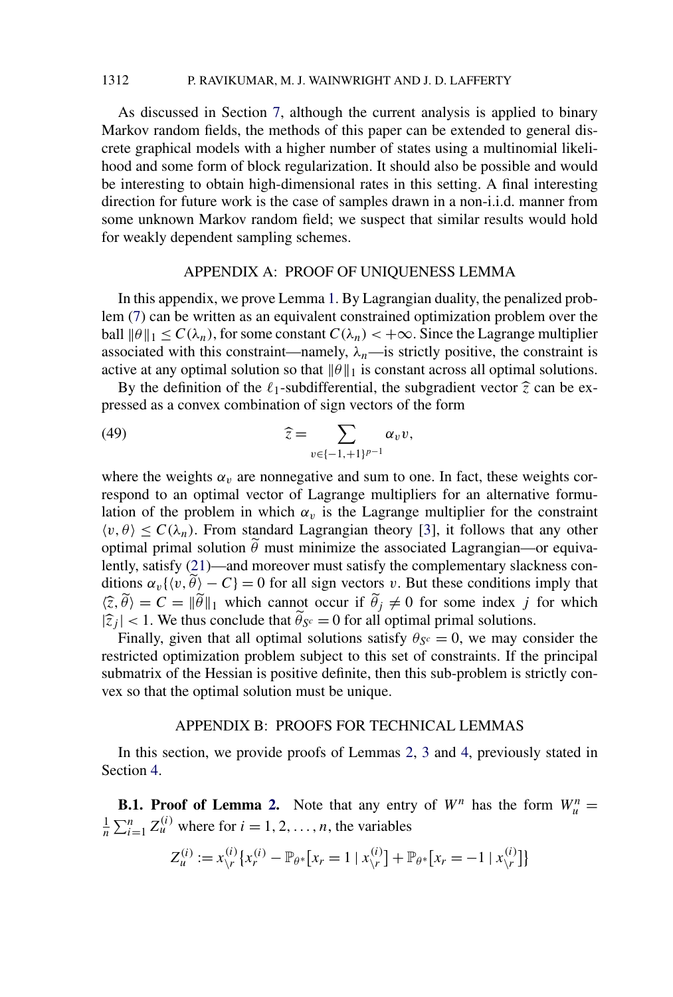<span id="page-25-0"></span>As discussed in Section [7,](#page-22-0) although the current analysis is applied to binary Markov random fields, the methods of this paper can be extended to general discrete graphical models with a higher number of states using a multinomial likelihood and some form of block regularization. It should also be possible and would be interesting to obtain high-dimensional rates in this setting. A final interesting direction for future work is the case of samples drawn in a non-i.i.d. manner from some unknown Markov random field; we suspect that similar results would hold for weakly dependent sampling schemes.

#### APPENDIX A: PROOF OF UNIQUENESS LEMMA

In this appendix, we prove Lemma [1.](#page-11-0) By Lagrangian duality, the penalized problem [\(7\)](#page-5-0) can be written as an equivalent constrained optimization problem over the ball  $\|\theta\|_1 \leq C(\lambda_n)$ , for some constant  $C(\lambda_n) < +\infty$ . Since the Lagrange multiplier associated with this constraint—namely,  $\lambda_n$ —is strictly positive, the constraint is active at any optimal solution so that  $\|\theta\|_1$  is constant across all optimal solutions.

By the definition of the  $\ell_1$ -subdifferential, the subgradient vector  $\hat{z}$  can be expressed as a convex combination of sign vectors of the form

(49) 
$$
\widehat{z} = \sum_{v \in \{-1, +1\}^{p-1}} \alpha_v v,
$$

where the weights  $\alpha_v$  are nonnegative and sum to one. In fact, these weights correspond to an optimal vector of Lagrange multipliers for an alternative formulation of the problem in which  $\alpha_v$  is the Lagrange multiplier for the constraint  $\langle v, \theta \rangle \leq C(\lambda_n)$ . From standard Lagrangian theory [\[3\]](#page-30-0), it follows that any other optimal primal solution  $\tilde{\theta}$  must minimize the associated Lagrangian—or equivalently, satisfy [\(21\)](#page-10-0)—and moreover must satisfy the complementary slackness conditions  $\alpha_v\{\langle v,\tilde{\theta}\rangle - C\} = 0$  for all sign vectors *v*. But these conditions imply that  $\langle \hat{z}, \hat{\theta} \rangle = C = ||\hat{\theta}||_1$  which cannot occur if  $\hat{\theta}_i \neq 0$  for some index *j* for which  $|\hat{z}_i|$  < 1. We thus conclude that  $\tilde{\theta}_{S^c} = 0$  for all optimal primal solutions.

Finally, given that all optimal solutions satisfy  $\theta_{S^c} = 0$ , we may consider the restricted optimization problem subject to this set of constraints. If the principal submatrix of the Hessian is positive definite, then this sub-problem is strictly convex so that the optimal solution must be unique.

#### APPENDIX B: PROOFS FOR TECHNICAL LEMMAS

In this section, we provide proofs of Lemmas [2,](#page-12-0) [3](#page-13-0) and [4,](#page-13-0) previously stated in Section [4.](#page-11-0)

**B.1. Proof of Lemma [2.](#page-12-0)** Note that any entry of *W<sup>n</sup>* has the form  $W_u^n = \frac{1}{2} \sum_{u=1}^n Z^{(i)}$  where for  $i = 1, 2, \ldots, n$  the variables  $\frac{1}{n} \sum_{i=1}^{n} Z_u^{(i)}$  where for  $i = 1, 2, ..., n$ , the variables

$$
Z_u^{(i)} := x_{\backslash r}^{(i)} \left\{ x_r^{(i)} - \mathbb{P}_{\theta^*} \left[ x_r = 1 \mid x_{\backslash r}^{(i)} \right] + \mathbb{P}_{\theta^*} \left[ x_r = -1 \mid x_{\backslash r}^{(i)} \right] \right\}
$$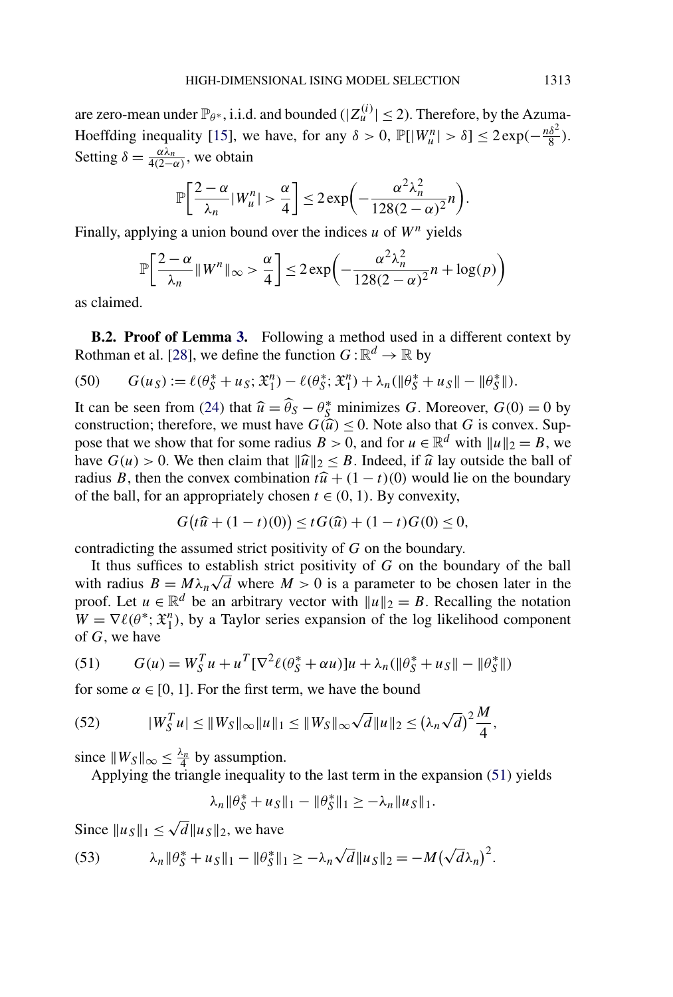<span id="page-26-0"></span>are zero-mean under  $\mathbb{P}_{\theta^*}$ , i.i.d. and bounded ( $|Z_u^{(i)}| \le 2$ ). Therefore, by the Azuma-Hoeffding inequality [\[15\]](#page-31-0), we have, for any  $\delta > 0$ ,  $\mathbb{P}[|W_u^n| > \delta] \leq 2 \exp(-\frac{n\delta^2}{8})$ . Setting  $\delta = \frac{\alpha \lambda_n}{4(2-\alpha)}$ , we obtain

$$
\mathbb{P}\bigg[\frac{2-\alpha}{\lambda_n}|W_u^n| > \frac{\alpha}{4}\bigg] \leq 2\exp\bigg(-\frac{\alpha^2\lambda_n^2}{128(2-\alpha)^2}n\bigg).
$$

Finally, applying a union bound over the indices *u* of *W<sup>n</sup>* yields

$$
\mathbb{P}\left[\frac{2-\alpha}{\lambda_n} \|W^n\|_{\infty} > \frac{\alpha}{4}\right] \le 2\exp\left(-\frac{\alpha^2\lambda_n^2}{128(2-\alpha)^2}n + \log(p)\right)
$$

as claimed.

**B.2. Proof of Lemma [3.](#page-13-0)** Following a method used in a different context by Rothman et al. [\[28\]](#page-31-0), we define the function  $G : \mathbb{R}^d \to \mathbb{R}$  by

(50) 
$$
G(u_S) := \ell(\theta_S^* + u_S; \mathfrak{X}_1^n) - \ell(\theta_S^*; \mathfrak{X}_1^n) + \lambda_n (\|\theta_S^* + u_S\| - \|\theta_S^*\|).
$$

It can be seen from [\(24\)](#page-11-0) that  $\hat{u} = \hat{\theta}_S - \theta_S^*$  minimizes *G*. Moreover,  $G(0) = 0$  by construction; therefore, we must have  $G(\hat{u}) \leq 0$ . Note also that *G* is convex. Suppose that we show that for some radius  $B > 0$ , and for  $u \in \mathbb{R}^d$  with  $||u||_2 = B$ , we have  $G(u) > 0$ . We then claim that  $\|\hat{u}\|_2 \leq B$ . Indeed, if  $\hat{u}$  lay outside the ball of radius *B*, then the convex combination  $t\hat{u} + (1 - t)(0)$  would lie on the boundary of the ball, for an appropriately chosen  $t \in (0, 1)$ . By convexity,

$$
G(t\hat{u} + (1-t)(0)) \le tG(\hat{u}) + (1-t)G(0) \le 0,
$$

contradicting the assumed strict positivity of *G* on the boundary.

It thus suffices to establish strict positivity of *G* on the boundary of the ball It thus suffices to establish strict positivity of G on the boundary of the ball<br>with radius  $B = M\lambda_n\sqrt{d}$  where  $M > 0$  is a parameter to be chosen later in the proof. Let  $u \in \mathbb{R}^d$  be an arbitrary vector with  $||u||_2 = B$ . Recalling the notation  $W = \nabla \ell(\theta^*; \mathfrak{X}_1^n)$ , by a Taylor series expansion of the log likelihood component of *G*, we have

(51) 
$$
G(u) = W_S^T u + u^T [\nabla^2 \ell(\theta_S^* + \alpha u)]u + \lambda_n(\|\theta_S^* + u_S\| - \|\theta_S^*\|)
$$

for some  $\alpha \in [0, 1]$ . For the first term, we have the bound

(52) 
$$
|W_{S}^{T}u| \leq ||W_{S}||_{\infty}||u||_{1} \leq ||W_{S}||_{\infty} \sqrt{d}||u||_{2} \leq (\lambda_{n} \sqrt{d})^{2} \frac{M}{4},
$$

since  $||W_S||_{\infty} \leq \frac{\lambda_n}{4}$  by assumption.

Applying the triangle inequality to the last term in the expansion (51) yields

$$
\lambda_n \|\theta_S^* + u_S\|_1 - \|\theta_S^*\|_1 \ge -\lambda_n \|u_S\|_1.
$$

Since  $||u_S||_1 < \sqrt{d}||u_S||_2$ , we have

(53) 
$$
\lambda_n \|\theta_S^* + u_S\|_1 - \|\theta_S^*\|_1 \geq -\lambda_n \sqrt{d} \|u_S\|_2 = -M(\sqrt{d}\lambda_n)^2.
$$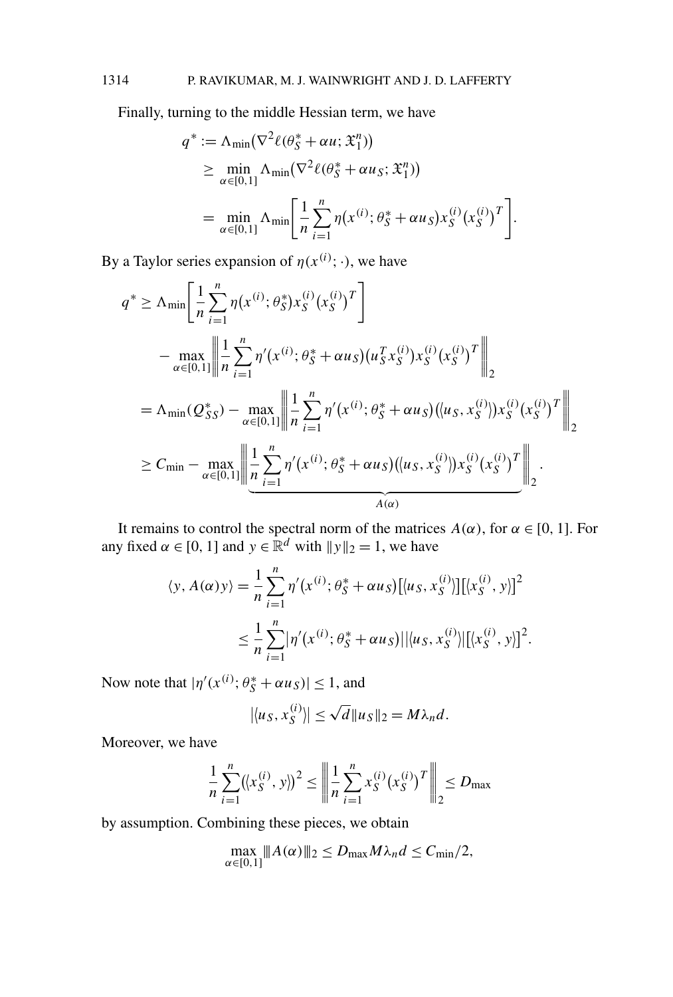Finally, turning to the middle Hessian term, we have

$$
q^* := \Lambda_{\min}(\nabla^2 \ell(\theta_S^* + \alpha u; \mathfrak{X}_1^n))
$$
  
\n
$$
\geq \min_{\alpha \in [0,1]} \Lambda_{\min}(\nabla^2 \ell(\theta_S^* + \alpha u_S; \mathfrak{X}_1^n))
$$
  
\n
$$
= \min_{\alpha \in [0,1]} \Lambda_{\min} \left[ \frac{1}{n} \sum_{i=1}^n \eta(x^{(i)}; \theta_S^* + \alpha u_S) x_S^{(i)} (x_S^{(i)})^T \right].
$$

By a Taylor series expansion of  $\eta(x^{(i)}; \cdot)$ , we have

$$
q^* \geq \Lambda_{\min} \left[ \frac{1}{n} \sum_{i=1}^n \eta(x^{(i)}; \theta_S^*) x_S^{(i)} (x_S^{(i)})^T \right]
$$
  
\n
$$
- \max_{\alpha \in [0,1]} \left\| \frac{1}{n} \sum_{i=1}^n \eta'(x^{(i)}; \theta_S^* + \alpha u_S) (u_S^T x_S^{(i)}) x_S^{(i)} (x_S^{(i)})^T \right\|_2
$$
  
\n
$$
= \Lambda_{\min} (Q_{SS}^*) - \max_{\alpha \in [0,1]} \left\| \frac{1}{n} \sum_{i=1}^n \eta'(x^{(i)}; \theta_S^* + \alpha u_S) ((u_S, x_S^{(i)})) x_S^{(i)} (x_S^{(i)})^T \right\|_2
$$
  
\n
$$
\geq C_{\min} - \max_{\alpha \in [0,1]} \left\| \frac{1}{n} \sum_{i=1}^n \eta'(x^{(i)}; \theta_S^* + \alpha u_S) ((u_S, x_S^{(i)})) x_S^{(i)} (x_S^{(i)})^T \right\|_2.
$$

It remains to control the spectral norm of the matrices  $A(\alpha)$ , for  $\alpha \in [0, 1]$ . For any fixed  $\alpha \in [0, 1]$  and  $y \in \mathbb{R}^d$  with  $||y||_2 = 1$ , we have

$$
\langle y, A(\alpha)y \rangle = \frac{1}{n} \sum_{i=1}^{n} \eta'(x^{(i)}; \theta_S^* + \alpha u_S) [\langle u_S, x_S^{(i)} \rangle] [\langle x_S^{(i)}, y \rangle]^2
$$
  

$$
\leq \frac{1}{n} \sum_{i=1}^{n} |\eta'(x^{(i)}; \theta_S^* + \alpha u_S)| |\langle u_S, x_S^{(i)} \rangle| [\langle x_S^{(i)}, y \rangle]^2.
$$

Now note that  $|\eta'(x^{(i)};\theta_S^* + \alpha u_S)| \le 1$ , and

$$
|\langle u_S, x_S^{(i)} \rangle| \le \sqrt{d} \|u_S\|_2 = M\lambda_n d.
$$

Moreover, we have

$$
\frac{1}{n}\sum_{i=1}^{n} (\langle x_S^{(i)}, y \rangle)^2 \le \left\| \frac{1}{n}\sum_{i=1}^{n} x_S^{(i)} (x_S^{(i)})^T \right\|_2 \le D_{\text{max}}
$$

by assumption. Combining these pieces, we obtain

$$
\max_{\alpha \in [0,1]} ||A(\alpha)||_2 \le D_{\max} M \lambda_n d \le C_{\min}/2,
$$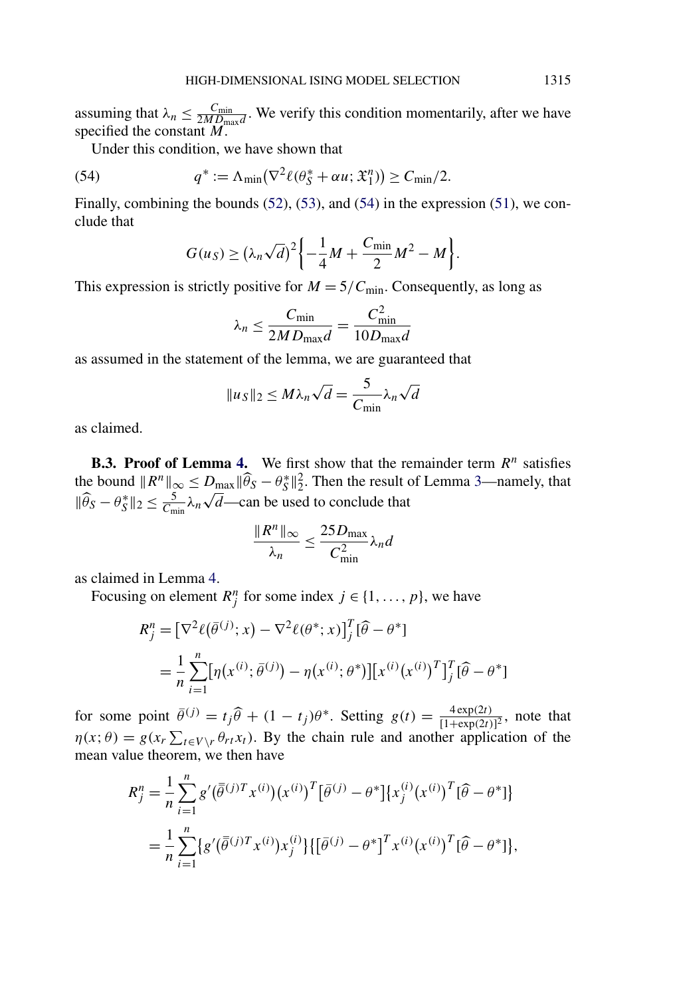<span id="page-28-0"></span>assuming that  $\lambda_n \leq \frac{C_{\min}}{2MD_{\max}d}$ . We verify this condition momentarily, after we have specified the constant *M*.

Under this condition, we have shown that

(54) 
$$
q^* := \Lambda_{\min}(\nabla^2 \ell(\theta_S^* + \alpha u; \mathfrak{X}_1^n)) \geq C_{\min}/2.
$$

Finally, combining the bounds [\(52\)](#page-26-0), [\(53\)](#page-26-0), and (54) in the expression [\(51\)](#page-26-0), we conclude that

$$
G(u_S) \ge (\lambda_n \sqrt{d})^2 \left\{ -\frac{1}{4}M + \frac{C_{\min}}{2}M^2 - M \right\}.
$$

This expression is strictly positive for  $M = 5/C_{\text{min}}$ . Consequently, as long as

$$
\lambda_n \le \frac{C_{\min}}{2MD_{\max}d} = \frac{C_{\min}^2}{10D_{\max}d}
$$

as assumed in the statement of the lemma, we are guaranteed that

$$
||u_S||_2 \le M\lambda_n \sqrt{d} = \frac{5}{C_{\min}} \lambda_n \sqrt{d}
$$

as claimed.

**B.3. Proof of Lemma [4.](#page-13-0)** We first show that the remainder term  $R^n$  satisfies the bound  $||R^n||_{\infty} \le D_{\text{max}} ||\widehat{\theta}_S - \theta_S^*||_2^2$ . Then the result of Lemma [3—](#page-13-0)namely, that  $\|\widehat{\theta}_S - \theta_S^*\|_2 \leq \frac{5}{C_{\min}} \lambda_n \sqrt{d}$ —can be used to conclude that

$$
\frac{\|R^n\|_{\infty}}{\lambda_n} \le \frac{25D_{\max}}{C_{\min}^2} \lambda_n d
$$

as claimed in Lemma [4.](#page-13-0)

Focusing on element  $R_j^n$  for some index  $j \in \{1, ..., p\}$ , we have

$$
R_j^n = [\nabla^2 \ell(\bar{\theta}^{(j)}; x) - \nabla^2 \ell(\theta^*; x)]_j^T [\hat{\theta} - \theta^*]
$$
  
= 
$$
\frac{1}{n} \sum_{i=1}^n [\eta(x^{(i)}; \bar{\theta}^{(j)}) - \eta(x^{(i)}; \theta^*)][x^{(i)}(x^{(i)})^T]_j^T [\hat{\theta} - \theta^*]
$$

for some point  $\bar{\theta}^{(j)} = t_j \hat{\theta} + (1 - t_j) \theta^*$ . Setting  $g(t) = \frac{4 \exp(2t)}{[1 + \exp(2t)]^2}$ , note that  $\eta(x; \theta) = g(x_r \sum_{t \in V \setminus r} \theta_{rt} x_t)$ . By the chain rule and another application of the mean value theorem, we then have

$$
R_j^n = \frac{1}{n} \sum_{i=1}^n g'(\bar{\theta}^{(j)T} x^{(i)}) (x^{(i)})^T [\bar{\theta}^{(j)} - \theta^*] \{x_j^{(i)} (x^{(i)})^T [\hat{\theta} - \theta^*] \}
$$
  

$$
= \frac{1}{n} \sum_{i=1}^n \{g'(\bar{\theta}^{(j)T} x^{(i)}) x_j^{(i)}\} \{[\bar{\theta}^{(j)} - \theta^*]^T x^{(i)} (x^{(i)})^T [\hat{\theta} - \theta^*] \},
$$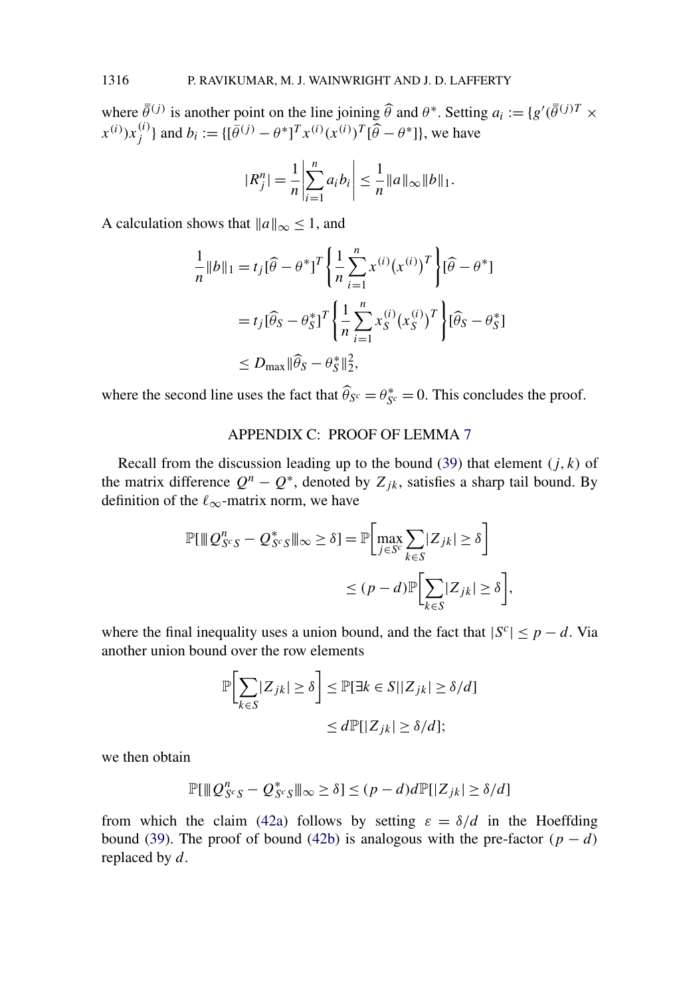<span id="page-29-0"></span>where  $\bar{\bar{\theta}}^{(j)}$  is another point on the line joining  $\hat{\theta}$  and  $\theta^*$ . Setting  $a_i := \{g'(\bar{\bar{\theta}}^{(j)T} \times \theta^*)\}$  $f(x^{(i)})x_j^{(i)}$ } and  $b_i := \{\bar{\theta}^{(j)} - \theta^*\}^T x^{(i)}(x^{(i)})^T[\hat{\theta} - \theta^*]\}$ , we have

$$
|R_j^n| = \frac{1}{n} \left| \sum_{i=1}^n a_i b_i \right| \leq \frac{1}{n} \|a\|_{\infty} \|b\|_1.
$$

A calculation shows that  $||a||_{\infty} \le 1$ , and

$$
\frac{1}{n}||b||_1 = t_j[\widehat{\theta} - \theta^*]^T \left\{ \frac{1}{n} \sum_{i=1}^n x^{(i)} (x^{(i)})^T \right\} [\widehat{\theta} - \theta^*]
$$

$$
= t_j[\widehat{\theta}_S - \theta_S^*]^T \left\{ \frac{1}{n} \sum_{i=1}^n x_S^{(i)} (x_S^{(i)})^T \right\} [\widehat{\theta}_S - \theta_S^*]
$$

$$
\leq D_{\text{max}} ||\widehat{\theta}_S - \theta_S^* ||_2^2,
$$

where the second line uses the fact that  $\widehat{\theta}_{S^c} = \theta_{S^c}^* = 0$ . This concludes the proof.

## APPENDIX C: PROOF OF LEMMA [7](#page-17-0)

Recall from the discussion leading up to the bound  $(39)$  that element  $(j, k)$  of the matrix difference  $Q^n - Q^*$ , denoted by  $Z_{jk}$ , satisfies a sharp tail bound. By definition of the  $\ell_{\infty}$ -matrix norm, we have

$$
\mathbb{P}[\|Q_{S^cS}^n - Q_{S^cS}^*\|_{\infty} \ge \delta] = \mathbb{P}\Big[\max_{j \in S^c} \sum_{k \in S} |Z_{jk}| \ge \delta\Big]
$$
  

$$
\le (p - d)\mathbb{P}\Big[\sum_{k \in S} |Z_{jk}| \ge \delta\Big],
$$

where the final inequality uses a union bound, and the fact that  $|S^c| \leq p - d$ . Via another union bound over the row elements

$$
\mathbb{P}\bigg[\sum_{k\in S} |Z_{jk}| \ge \delta\bigg] \le \mathbb{P}[\exists k \in S | |Z_{jk}| \ge \delta/d]
$$
  

$$
\le d \mathbb{P}[\vert Z_{jk}| \ge \delta/d];
$$

we then obtain

$$
\mathbb{P}[\|Q_{S^cS}^n - Q_{S^cS}^*\|_{\infty} \ge \delta] \le (p-d)d\mathbb{P}[\|Z_{jk}| \ge \delta/d]
$$

from which the claim [\(42a\)](#page-17-0) follows by setting  $\varepsilon = \delta/d$  in the Hoeffding bound [\(39\)](#page-15-0). The proof of bound [\(42b\)](#page-17-0) is analogous with the pre-factor  $(p - d)$ replaced by *d*.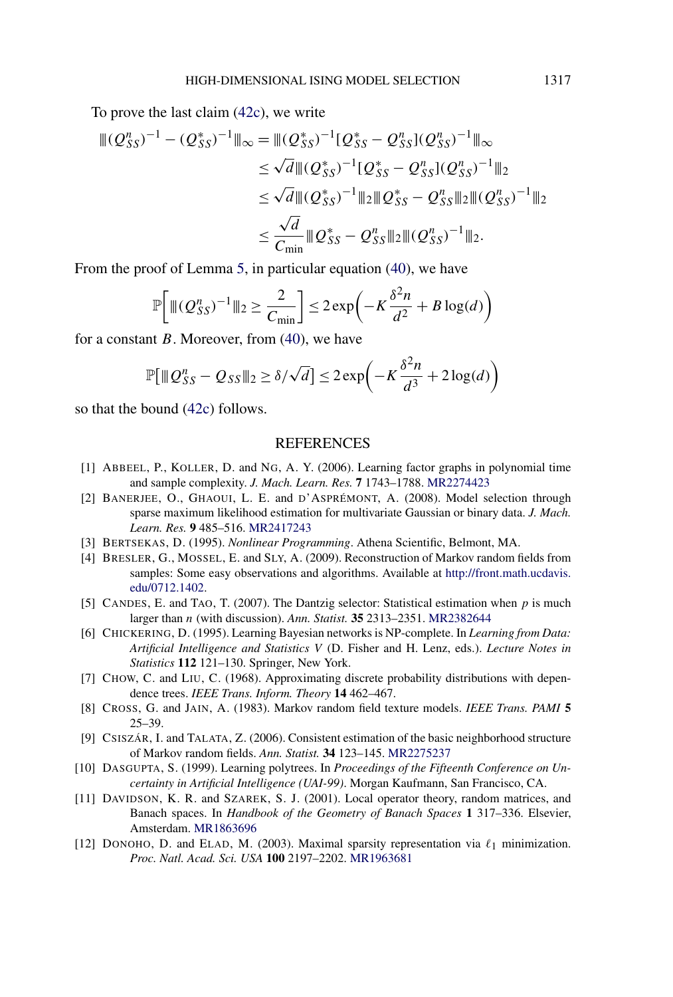<span id="page-30-0"></span>To prove the last claim [\(42c\)](#page-17-0), we write

$$
\| (Q_{SS}^n)^{-1} - (Q_{SS}^*)^{-1} \|_{\infty} = \| (Q_{SS}^*)^{-1} [Q_{SS}^* - Q_{SS}^n] (Q_{SS}^n)^{-1} \|_{\infty}
$$
  
\n
$$
\leq \sqrt{d} \| (Q_{SS}^*)^{-1} [Q_{SS}^* - Q_{SS}^n] (Q_{SS}^n)^{-1} \|_2
$$
  
\n
$$
\leq \sqrt{d} \| (Q_{SS}^*)^{-1} \|_2 \| Q_{SS}^* - Q_{SS}^n \|_2 \| (Q_{SS}^n)^{-1} \|_2
$$
  
\n
$$
\leq \frac{\sqrt{d}}{C_{\min}} \| Q_{SS}^* - Q_{SS}^n \|_2 \| (Q_{SS}^n)^{-1} \|_2.
$$

From the proof of Lemma [5,](#page-15-0) in particular equation [\(40\)](#page-16-0), we have

$$
\mathbb{P}\bigg[\|(Q_{SS}^n)^{-1}\|_2 \ge \frac{2}{C_{\min}}\bigg] \le 2\exp\bigg(-K\frac{\delta^2 n}{d^2} + B\log(d)\bigg)
$$

for a constant *B*. Moreover, from [\(40\)](#page-16-0), we have

$$
\mathbb{P}[\|Q_{SS}^n - Q_{SS}\|_2 \ge \delta/\sqrt{d}] \le 2\exp\left(-K\frac{\delta^2 n}{d^3} + 2\log(d)\right)
$$

so that the bound [\(42c\)](#page-17-0) follows.

### **REFERENCES**

- [1] ABBEEL, P., KOLLER, D. and NG, A. Y. (2006). Learning factor graphs in polynomial time and sample complexity. *J. Mach. Learn. Res.* **7** 1743–1788. [MR2274423](http://www.ams.org/mathscinet-getitem?mr=2274423)
- [2] BANERJEE, O., GHAOUI, L. E. and D'ASPRÉMONT, A. (2008). Model selection through sparse maximum likelihood estimation for multivariate Gaussian or binary data. *J. Mach. Learn. Res.* **9** 485–516. [MR2417243](http://www.ams.org/mathscinet-getitem?mr=2417243)
- [3] BERTSEKAS, D. (1995). *Nonlinear Programming*. Athena Scientific, Belmont, MA.
- [4] BRESLER, G., MOSSEL, E. and SLY, A. (2009). Reconstruction of Markov random fields from samples: Some easy observations and algorithms. Available at [http://front.math.ucdavis.](http://front.math.ucdavis.edu/0712.1402) [edu/0712.1402](http://front.math.ucdavis.edu/0712.1402).
- [5] CANDES, E. and TAO, T. (2007). The Dantzig selector: Statistical estimation when *p* is much larger than *n* (with discussion). *Ann. Statist.* **35** 2313–2351. [MR2382644](http://www.ams.org/mathscinet-getitem?mr=2382644)
- [6] CHICKERING, D. (1995). Learning Bayesian networks is NP-complete. In *Learning from Data: Artificial Intelligence and Statistics V* (D. Fisher and H. Lenz, eds.). *Lecture Notes in Statistics* **112** 121–130. Springer, New York.
- [7] CHOW, C. and LIU, C. (1968). Approximating discrete probability distributions with dependence trees. *IEEE Trans. Inform. Theory* **14** 462–467.
- [8] CROSS, G. and JAIN, A. (1983). Markov random field texture models. *IEEE Trans. PAMI* **5** 25–39.
- [9] CSISZÁR, I. and TALATA, Z. (2006). Consistent estimation of the basic neighborhood structure of Markov random fields. *Ann. Statist.* **34** 123–145. [MR2275237](http://www.ams.org/mathscinet-getitem?mr=2275237)
- [10] DASGUPTA, S. (1999). Learning polytrees. In *Proceedings of the Fifteenth Conference on Uncertainty in Artificial Intelligence (UAI-99)*. Morgan Kaufmann, San Francisco, CA.
- [11] DAVIDSON, K. R. and SZAREK, S. J. (2001). Local operator theory, random matrices, and Banach spaces. In *Handbook of the Geometry of Banach Spaces* **1** 317–336. Elsevier, Amsterdam. [MR1863696](http://www.ams.org/mathscinet-getitem?mr=1863696)
- [12] DONOHO, D. and ELAD, M. (2003). Maximal sparsity representation via  $\ell_1$  minimization. *Proc. Natl. Acad. Sci. USA* **100** 2197–2202. [MR1963681](http://www.ams.org/mathscinet-getitem?mr=1963681)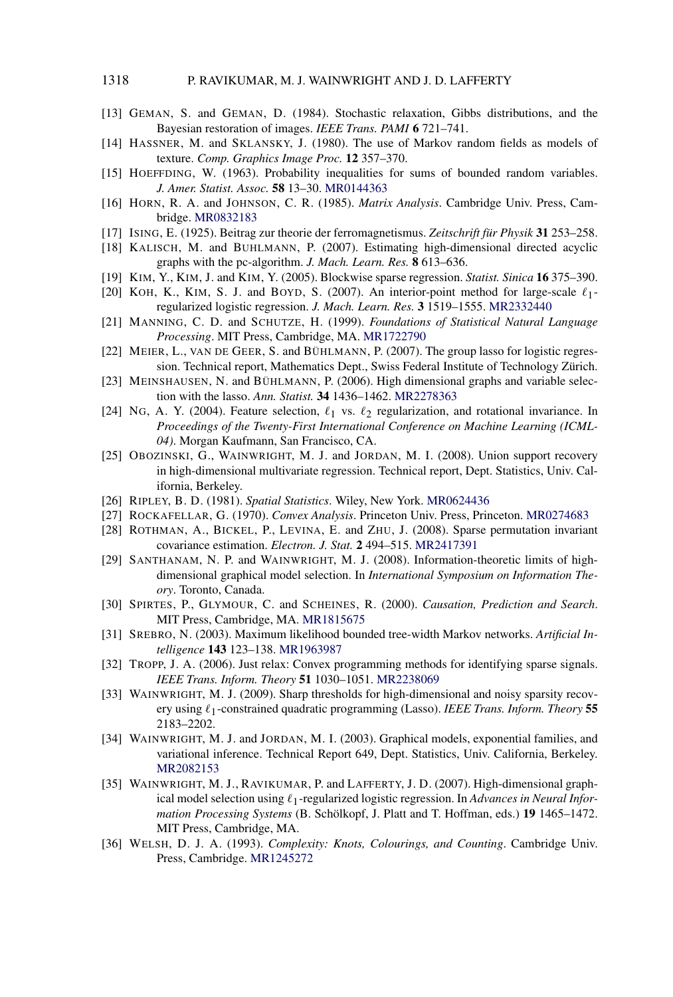- <span id="page-31-0"></span>[13] GEMAN, S. and GEMAN, D. (1984). Stochastic relaxation, Gibbs distributions, and the Bayesian restoration of images. *IEEE Trans. PAMI* **6** 721–741.
- [14] HASSNER, M. and SKLANSKY, J. (1980). The use of Markov random fields as models of texture. *Comp. Graphics Image Proc.* **12** 357–370.
- [15] HOEFFDING, W. (1963). Probability inequalities for sums of bounded random variables. *J. Amer. Statist. Assoc.* **58** 13–30. [MR0144363](http://www.ams.org/mathscinet-getitem?mr=0144363)
- [16] HORN, R. A. and JOHNSON, C. R. (1985). *Matrix Analysis*. Cambridge Univ. Press, Cambridge. [MR0832183](http://www.ams.org/mathscinet-getitem?mr=0832183)
- [17] ISING, E. (1925). Beitrag zur theorie der ferromagnetismus. *Zeitschrift für Physik* **31** 253–258.
- [18] KALISCH, M. and BUHLMANN, P. (2007). Estimating high-dimensional directed acyclic graphs with the pc-algorithm. *J. Mach. Learn. Res.* **8** 613–636.
- [19] KIM, Y., KIM, J. and KIM, Y. (2005). Blockwise sparse regression. *Statist. Sinica* **16** 375–390.
- [20] KOH, K., KIM, S. J. and BOYD, S. (2007). An interior-point method for large-scale  $\ell_1$ regularized logistic regression. *J. Mach. Learn. Res.* **3** 1519–1555. [MR2332440](http://www.ams.org/mathscinet-getitem?mr=2332440)
- [21] MANNING, C. D. and SCHUTZE, H. (1999). *Foundations of Statistical Natural Language Processing*. MIT Press, Cambridge, MA. [MR1722790](http://www.ams.org/mathscinet-getitem?mr=1722790)
- [22] MEIER, L., VAN DE GEER, S. and BÜHLMANN, P. (2007). The group lasso for logistic regression. Technical report, Mathematics Dept., Swiss Federal Institute of Technology Zürich.
- [23] MEINSHAUSEN, N. and BÜHLMANN, P. (2006). High dimensional graphs and variable selection with the lasso. *Ann. Statist.* **34** 1436–1462. [MR2278363](http://www.ams.org/mathscinet-getitem?mr=2278363)
- [24] NG, A. Y. (2004). Feature selection,  $\ell_1$  vs.  $\ell_2$  regularization, and rotational invariance. In *Proceedings of the Twenty-First International Conference on Machine Learning (ICML-04)*. Morgan Kaufmann, San Francisco, CA.
- [25] OBOZINSKI, G., WAINWRIGHT, M. J. and JORDAN, M. I. (2008). Union support recovery in high-dimensional multivariate regression. Technical report, Dept. Statistics, Univ. California, Berkeley.
- [26] RIPLEY, B. D. (1981). *Spatial Statistics*. Wiley, New York. [MR0624436](http://www.ams.org/mathscinet-getitem?mr=0624436)
- [27] ROCKAFELLAR, G. (1970). *Convex Analysis*. Princeton Univ. Press, Princeton. [MR0274683](http://www.ams.org/mathscinet-getitem?mr=0274683)
- [28] ROTHMAN, A., BICKEL, P., LEVINA, E. and ZHU, J. (2008). Sparse permutation invariant covariance estimation. *Electron. J. Stat.* **2** 494–515. [MR2417391](http://www.ams.org/mathscinet-getitem?mr=2417391)
- [29] SANTHANAM, N. P. and WAINWRIGHT, M. J. (2008). Information-theoretic limits of highdimensional graphical model selection. In *International Symposium on Information Theory*. Toronto, Canada.
- [30] SPIRTES, P., GLYMOUR, C. and SCHEINES, R. (2000). *Causation, Prediction and Search*. MIT Press, Cambridge, MA. [MR1815675](http://www.ams.org/mathscinet-getitem?mr=1815675)
- [31] SREBRO, N. (2003). Maximum likelihood bounded tree-width Markov networks. *Artificial Intelligence* **143** 123–138. [MR1963987](http://www.ams.org/mathscinet-getitem?mr=1963987)
- [32] TROPP, J. A. (2006). Just relax: Convex programming methods for identifying sparse signals. *IEEE Trans. Inform. Theory* **51** 1030–1051. [MR2238069](http://www.ams.org/mathscinet-getitem?mr=2238069)
- [33] WAINWRIGHT, M. J. (2009). Sharp thresholds for high-dimensional and noisy sparsity recovery using  $\ell_1$ -constrained quadratic programming (Lasso). *IEEE Trans. Inform. Theory* 55 2183–2202.
- [34] WAINWRIGHT, M. J. and JORDAN, M. I. (2003). Graphical models, exponential families, and variational inference. Technical Report 649, Dept. Statistics, Univ. California, Berkeley. [MR2082153](http://www.ams.org/mathscinet-getitem?mr=2082153)
- [35] WAINWRIGHT, M. J., RAVIKUMAR, P. and LAFFERTY, J. D. (2007). High-dimensional graphical model selection using  $\ell_1$ -regularized logistic regression. In *Advances in Neural Information Processing Systems* (B. Schölkopf, J. Platt and T. Hoffman, eds.) **19** 1465–1472. MIT Press, Cambridge, MA.
- [36] WELSH, D. J. A. (1993). *Complexity: Knots, Colourings, and Counting*. Cambridge Univ. Press, Cambridge. [MR1245272](http://www.ams.org/mathscinet-getitem?mr=1245272)